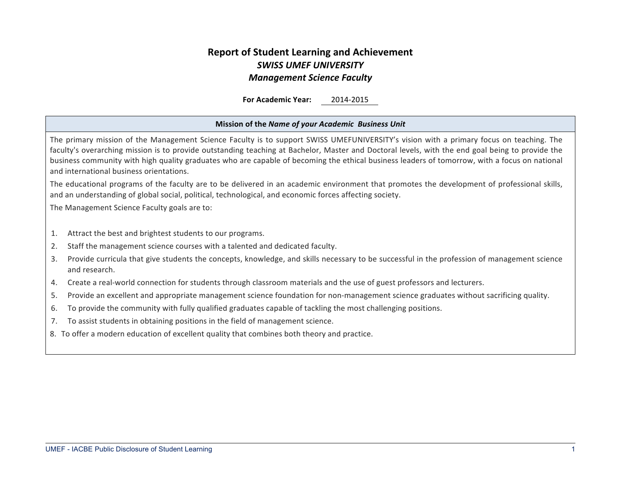# **Report of Student Learning and Achievement** *SWISS UMEF UNIVERSITY Management Science Faculty*

**For Academic Year:** 2014-2015

#### **Mission of the** *Name of your Academic Business Unit*

The primary mission of the Management Science Faculty is to support SWISS UMEFUNIVERSITY's vision with a primary focus on teaching. The faculty's overarching mission is to provide outstanding teaching at Bachelor, Master and Doctoral levels, with the end goal being to provide the business community with high quality graduates who are capable of becoming the ethical business leaders of tomorrow, with a focus on national and international business orientations.

The educational programs of the faculty are to be delivered in an academic environment that promotes the development of professional skills, and an understanding of global social, political, technological, and economic forces affecting society.

The Management Science Faculty goals are to:

- 1. Attract the best and brightest students to our programs.
- 2. Staff the management science courses with a talented and dedicated faculty.
- 3. Provide curricula that give students the concepts, knowledge, and skills necessary to be successful in the profession of management science and research.
- 4. Create a real-world connection for students through classroom materials and the use of guest professors and lecturers.
- 5. Provide an excellent and appropriate management science foundation for non-management science graduates without sacrificing quality.
- 6. To provide the community with fully qualified graduates capable of tackling the most challenging positions.
- 7. To assist students in obtaining positions in the field of management science.
- 8. To offer a modern education of excellent quality that combines both theory and practice.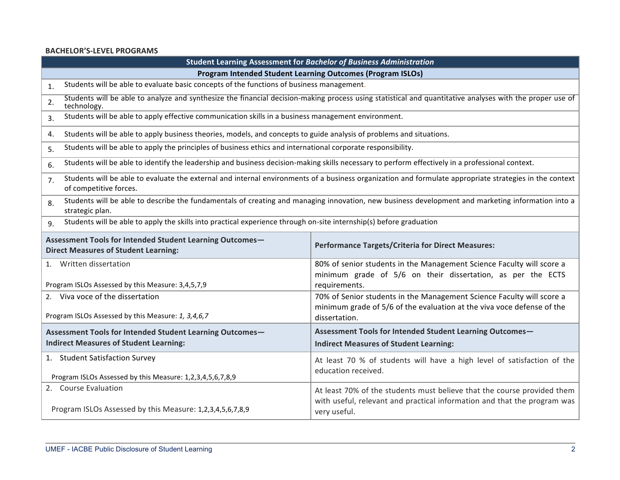### **BACHELOR'S-LEVEL PROGRAMS**

|                                                                                                                                       | Student Learning Assessment for Bachelor of Business Administration |                                                                                                                                                                     |  |  |  |  |  |  |
|---------------------------------------------------------------------------------------------------------------------------------------|---------------------------------------------------------------------|---------------------------------------------------------------------------------------------------------------------------------------------------------------------|--|--|--|--|--|--|
|                                                                                                                                       | Program Intended Student Learning Outcomes (Program ISLOs)          |                                                                                                                                                                     |  |  |  |  |  |  |
| Students will be able to evaluate basic concepts of the functions of business management.<br>1.                                       |                                                                     |                                                                                                                                                                     |  |  |  |  |  |  |
| 2.<br>technology.                                                                                                                     |                                                                     | Students will be able to analyze and synthesize the financial decision-making process using statistical and quantitative analyses with the proper use of            |  |  |  |  |  |  |
| Students will be able to apply effective communication skills in a business management environment.<br>3.                             |                                                                     |                                                                                                                                                                     |  |  |  |  |  |  |
| Students will be able to apply business theories, models, and concepts to guide analysis of problems and situations.<br>4.            |                                                                     |                                                                                                                                                                     |  |  |  |  |  |  |
| Students will be able to apply the principles of business ethics and international corporate responsibility.<br>5.                    |                                                                     |                                                                                                                                                                     |  |  |  |  |  |  |
| 6.                                                                                                                                    |                                                                     | Students will be able to identify the leadership and business decision-making skills necessary to perform effectively in a professional context.                    |  |  |  |  |  |  |
| 7.<br>of competitive forces.                                                                                                          |                                                                     | Students will be able to evaluate the external and internal environments of a business organization and formulate appropriate strategies in the context             |  |  |  |  |  |  |
| 8.<br>strategic plan.                                                                                                                 |                                                                     | Students will be able to describe the fundamentals of creating and managing innovation, new business development and marketing information into a                   |  |  |  |  |  |  |
| Students will be able to apply the skills into practical experience through on-site internship(s) before graduation<br>$\mathsf{q}$ . |                                                                     |                                                                                                                                                                     |  |  |  |  |  |  |
| Assessment Tools for Intended Student Learning Outcomes-<br><b>Direct Measures of Student Learning:</b>                               |                                                                     | <b>Performance Targets/Criteria for Direct Measures:</b>                                                                                                            |  |  |  |  |  |  |
| 1. Written dissertation<br>Program ISLOs Assessed by this Measure: 3,4,5,7,9                                                          |                                                                     | 80% of senior students in the Management Science Faculty will score a<br>minimum grade of 5/6 on their dissertation, as per the ECTS<br>requirements.               |  |  |  |  |  |  |
| 2. Viva voce of the dissertation<br>Program ISLOs Assessed by this Measure: 1, 3,4,6,7                                                |                                                                     | 70% of Senior students in the Management Science Faculty will score a<br>minimum grade of 5/6 of the evaluation at the viva voce defense of the<br>dissertation.    |  |  |  |  |  |  |
| Assessment Tools for Intended Student Learning Outcomes-                                                                              |                                                                     | Assessment Tools for Intended Student Learning Outcomes-                                                                                                            |  |  |  |  |  |  |
| <b>Indirect Measures of Student Learning:</b>                                                                                         |                                                                     | <b>Indirect Measures of Student Learning:</b>                                                                                                                       |  |  |  |  |  |  |
| 1. Student Satisfaction Survey<br>Program ISLOs Assessed by this Measure: 1,2,3,4,5,6,7,8,9                                           |                                                                     | At least 70 % of students will have a high level of satisfaction of the<br>education received.                                                                      |  |  |  |  |  |  |
| 2. Course Evaluation<br>Program ISLOs Assessed by this Measure: 1,2,3,4,5,6,7,8,9                                                     |                                                                     | At least 70% of the students must believe that the course provided them<br>with useful, relevant and practical information and that the program was<br>very useful. |  |  |  |  |  |  |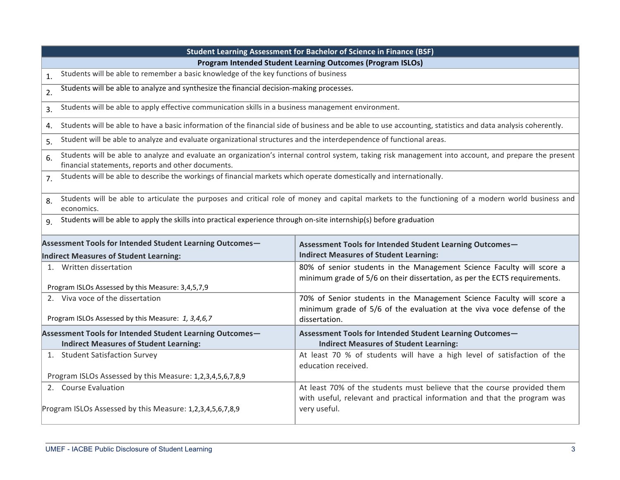|                                                                                                                                     | <b>Student Learning Assessment for Bachelor of Science in Finance (BSF)</b>                                                                                      |  |  |  |  |  |  |  |
|-------------------------------------------------------------------------------------------------------------------------------------|------------------------------------------------------------------------------------------------------------------------------------------------------------------|--|--|--|--|--|--|--|
|                                                                                                                                     | Program Intended Student Learning Outcomes (Program ISLOs)                                                                                                       |  |  |  |  |  |  |  |
| Students will be able to remember a basic knowledge of the key functions of business<br>1.                                          |                                                                                                                                                                  |  |  |  |  |  |  |  |
| Students will be able to analyze and synthesize the financial decision-making processes.<br>2.                                      |                                                                                                                                                                  |  |  |  |  |  |  |  |
| Students will be able to apply effective communication skills in a business management environment.<br>3.                           |                                                                                                                                                                  |  |  |  |  |  |  |  |
| 4.                                                                                                                                  | Students will be able to have a basic information of the financial side of business and be able to use accounting, statistics and data analysis coherently.      |  |  |  |  |  |  |  |
| Student will be able to analyze and evaluate organizational structures and the interdependence of functional areas.<br>5.           |                                                                                                                                                                  |  |  |  |  |  |  |  |
| 6.<br>financial statements, reports and other documents.                                                                            | Students will be able to analyze and evaluate an organization's internal control system, taking risk management into account, and prepare the present            |  |  |  |  |  |  |  |
| Students will be able to describe the workings of financial markets which operate domestically and internationally.<br>7.           |                                                                                                                                                                  |  |  |  |  |  |  |  |
| 8.<br>economics.                                                                                                                    | Students will be able to articulate the purposes and critical role of money and capital markets to the functioning of a modern world business and                |  |  |  |  |  |  |  |
| Students will be able to apply the skills into practical experience through on-site internship(s) before graduation<br>$\mathsf{q}$ |                                                                                                                                                                  |  |  |  |  |  |  |  |
| Assessment Tools for Intended Student Learning Outcomes-                                                                            | Assessment Tools for Intended Student Learning Outcomes-                                                                                                         |  |  |  |  |  |  |  |
| Indirect Measures of Student Learning:                                                                                              | <b>Indirect Measures of Student Learning:</b>                                                                                                                    |  |  |  |  |  |  |  |
| 1. Written dissertation                                                                                                             | 80% of senior students in the Management Science Faculty will score a<br>minimum grade of 5/6 on their dissertation, as per the ECTS requirements.               |  |  |  |  |  |  |  |
| Program ISLOs Assessed by this Measure: 3,4,5,7,9                                                                                   |                                                                                                                                                                  |  |  |  |  |  |  |  |
| 2. Viva voce of the dissertation<br>Program ISLOs Assessed by this Measure: 1, 3,4,6,7                                              | 70% of Senior students in the Management Science Faculty will score a<br>minimum grade of 5/6 of the evaluation at the viva voce defense of the<br>dissertation. |  |  |  |  |  |  |  |
|                                                                                                                                     |                                                                                                                                                                  |  |  |  |  |  |  |  |
| Assessment Tools for Intended Student Learning Outcomes-<br><b>Indirect Measures of Student Learning:</b>                           | Assessment Tools for Intended Student Learning Outcomes-<br><b>Indirect Measures of Student Learning:</b>                                                        |  |  |  |  |  |  |  |
| 1. Student Satisfaction Survey                                                                                                      | At least 70 % of students will have a high level of satisfaction of the<br>education received.                                                                   |  |  |  |  |  |  |  |
| Program ISLOs Assessed by this Measure: 1,2,3,4,5,6,7,8,9                                                                           |                                                                                                                                                                  |  |  |  |  |  |  |  |
| 2. Course Evaluation                                                                                                                | At least 70% of the students must believe that the course provided them<br>with useful, relevant and practical information and that the program was              |  |  |  |  |  |  |  |
| Program ISLOs Assessed by this Measure: 1,2,3,4,5,6,7,8,9                                                                           | very useful.                                                                                                                                                     |  |  |  |  |  |  |  |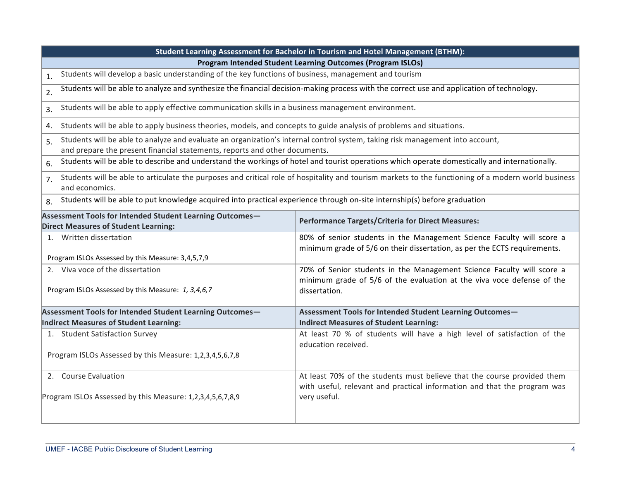|                                                                                                                                                                                                                   | Student Learning Assessment for Bachelor in Tourism and Hotel Management (BTHM):                                                                                    |  |  |  |  |  |  |  |  |
|-------------------------------------------------------------------------------------------------------------------------------------------------------------------------------------------------------------------|---------------------------------------------------------------------------------------------------------------------------------------------------------------------|--|--|--|--|--|--|--|--|
|                                                                                                                                                                                                                   | Program Intended Student Learning Outcomes (Program ISLOs)                                                                                                          |  |  |  |  |  |  |  |  |
| Students will develop a basic understanding of the key functions of business, management and tourism<br>1.                                                                                                        |                                                                                                                                                                     |  |  |  |  |  |  |  |  |
| 2.                                                                                                                                                                                                                | Students will be able to analyze and synthesize the financial decision-making process with the correct use and application of technology.                           |  |  |  |  |  |  |  |  |
| 3.                                                                                                                                                                                                                | Students will be able to apply effective communication skills in a business management environment.                                                                 |  |  |  |  |  |  |  |  |
| Students will be able to apply business theories, models, and concepts to guide analysis of problems and situations.<br>4.                                                                                        |                                                                                                                                                                     |  |  |  |  |  |  |  |  |
| Students will be able to analyze and evaluate an organization's internal control system, taking risk management into account,<br>5.<br>and prepare the present financial statements, reports and other documents. |                                                                                                                                                                     |  |  |  |  |  |  |  |  |
| 6.                                                                                                                                                                                                                | Students will be able to describe and understand the workings of hotel and tourist operations which operate domestically and internationally.                       |  |  |  |  |  |  |  |  |
| Students will be able to articulate the purposes and critical role of hospitality and tourism markets to the functioning of a modern world business<br>7 <sub>1</sub><br>and economics.                           |                                                                                                                                                                     |  |  |  |  |  |  |  |  |
| Students will be able to put knowledge acquired into practical experience through on-site internship(s) before graduation<br>8.                                                                                   |                                                                                                                                                                     |  |  |  |  |  |  |  |  |
| Assessment Tools for Intended Student Learning Outcomes-<br><b>Direct Measures of Student Learning:</b>                                                                                                           | <b>Performance Targets/Criteria for Direct Measures:</b>                                                                                                            |  |  |  |  |  |  |  |  |
| 1. Written dissertation                                                                                                                                                                                           | 80% of senior students in the Management Science Faculty will score a<br>minimum grade of 5/6 on their dissertation, as per the ECTS requirements.                  |  |  |  |  |  |  |  |  |
| Program ISLOs Assessed by this Measure: 3,4,5,7,9<br>2. Viva voce of the dissertation                                                                                                                             |                                                                                                                                                                     |  |  |  |  |  |  |  |  |
| Program ISLOs Assessed by this Measure: 1, 3,4,6,7                                                                                                                                                                | 70% of Senior students in the Management Science Faculty will score a<br>minimum grade of 5/6 of the evaluation at the viva voce defense of the<br>dissertation.    |  |  |  |  |  |  |  |  |
| Assessment Tools for Intended Student Learning Outcomes-                                                                                                                                                          | Assessment Tools for Intended Student Learning Outcomes-                                                                                                            |  |  |  |  |  |  |  |  |
| <b>Indirect Measures of Student Learning:</b>                                                                                                                                                                     | <b>Indirect Measures of Student Learning:</b>                                                                                                                       |  |  |  |  |  |  |  |  |
| 1. Student Satisfaction Survey                                                                                                                                                                                    | At least 70 % of students will have a high level of satisfaction of the<br>education received.                                                                      |  |  |  |  |  |  |  |  |
| Program ISLOs Assessed by this Measure: 1,2,3,4,5,6,7,8                                                                                                                                                           |                                                                                                                                                                     |  |  |  |  |  |  |  |  |
| 2. Course Evaluation<br>Program ISLOs Assessed by this Measure: 1,2,3,4,5,6,7,8,9                                                                                                                                 | At least 70% of the students must believe that the course provided them<br>with useful, relevant and practical information and that the program was<br>very useful. |  |  |  |  |  |  |  |  |
|                                                                                                                                                                                                                   |                                                                                                                                                                     |  |  |  |  |  |  |  |  |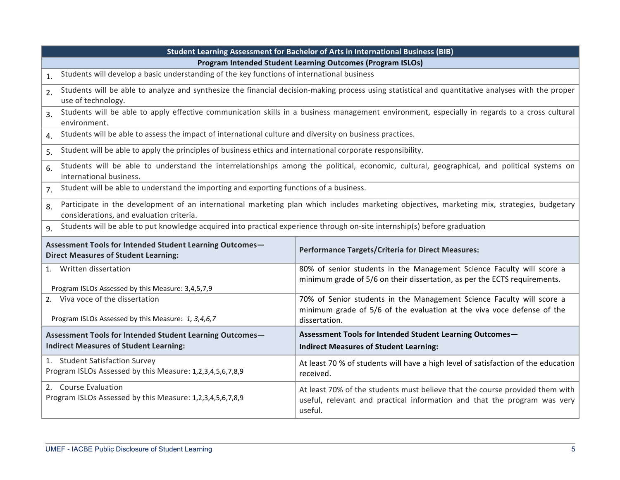|                                                                                                                           | Student Learning Assessment for Bachelor of Arts in International Business (BIB)                                                                                    |  |  |  |  |  |  |  |
|---------------------------------------------------------------------------------------------------------------------------|---------------------------------------------------------------------------------------------------------------------------------------------------------------------|--|--|--|--|--|--|--|
|                                                                                                                           | Program Intended Student Learning Outcomes (Program ISLOs)                                                                                                          |  |  |  |  |  |  |  |
| Students will develop a basic understanding of the key functions of international business<br>1.                          |                                                                                                                                                                     |  |  |  |  |  |  |  |
| 2.<br>use of technology.                                                                                                  | Students will be able to analyze and synthesize the financial decision-making process using statistical and quantitative analyses with the proper                   |  |  |  |  |  |  |  |
| $\overline{3}$ .<br>environment.                                                                                          | Students will be able to apply effective communication skills in a business management environment, especially in regards to a cross cultural                       |  |  |  |  |  |  |  |
| Students will be able to assess the impact of international culture and diversity on business practices.<br>4.            |                                                                                                                                                                     |  |  |  |  |  |  |  |
| Student will be able to apply the principles of business ethics and international corporate responsibility.<br>5.         |                                                                                                                                                                     |  |  |  |  |  |  |  |
| 6.<br>international business.                                                                                             | Students will be able to understand the interrelationships among the political, economic, cultural, geographical, and political systems on                          |  |  |  |  |  |  |  |
| Student will be able to understand the importing and exporting functions of a business.<br>7 <sub>1</sub>                 |                                                                                                                                                                     |  |  |  |  |  |  |  |
| 8.<br>considerations, and evaluation criteria.                                                                            | Participate in the development of an international marketing plan which includes marketing objectives, marketing mix, strategies, budgetary                         |  |  |  |  |  |  |  |
| Students will be able to put knowledge acquired into practical experience through on-site internship(s) before graduation |                                                                                                                                                                     |  |  |  |  |  |  |  |
| Assessment Tools for Intended Student Learning Outcomes-<br><b>Direct Measures of Student Learning:</b>                   | <b>Performance Targets/Criteria for Direct Measures:</b>                                                                                                            |  |  |  |  |  |  |  |
| 1. Written dissertation<br>Program ISLOs Assessed by this Measure: 3,4,5,7,9                                              | 80% of senior students in the Management Science Faculty will score a<br>minimum grade of 5/6 on their dissertation, as per the ECTS requirements.                  |  |  |  |  |  |  |  |
| 2. Viva voce of the dissertation<br>Program ISLOs Assessed by this Measure: 1, 3,4,6,7                                    | 70% of Senior students in the Management Science Faculty will score a<br>minimum grade of 5/6 of the evaluation at the viva voce defense of the<br>dissertation.    |  |  |  |  |  |  |  |
| Assessment Tools for Intended Student Learning Outcomes-                                                                  | Assessment Tools for Intended Student Learning Outcomes-                                                                                                            |  |  |  |  |  |  |  |
| <b>Indirect Measures of Student Learning:</b>                                                                             | <b>Indirect Measures of Student Learning:</b>                                                                                                                       |  |  |  |  |  |  |  |
| 1. Student Satisfaction Survey<br>Program ISLOs Assessed by this Measure: 1,2,3,4,5,6,7,8,9                               | At least 70 % of students will have a high level of satisfaction of the education<br>received.                                                                      |  |  |  |  |  |  |  |
| 2. Course Evaluation<br>Program ISLOs Assessed by this Measure: 1,2,3,4,5,6,7,8,9                                         | At least 70% of the students must believe that the course provided them with<br>useful, relevant and practical information and that the program was very<br>useful. |  |  |  |  |  |  |  |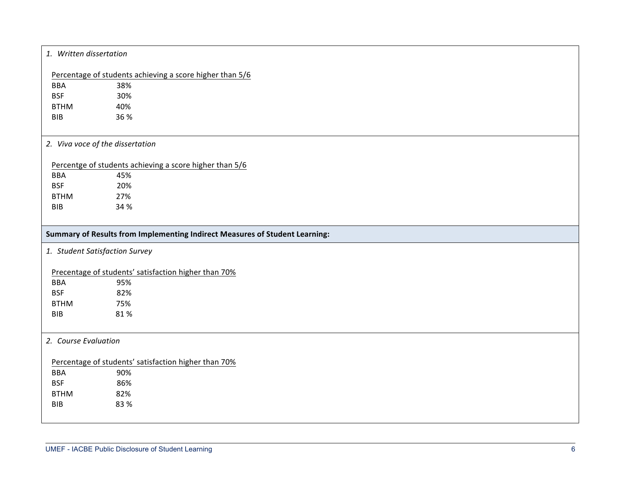| 1. Written dissertation          |                                                                             |
|----------------------------------|-----------------------------------------------------------------------------|
|                                  | Percentage of students achieving a score higher than 5/6                    |
| <b>BBA</b>                       | 38%                                                                         |
| <b>BSF</b>                       | 30%                                                                         |
| <b>BTHM</b>                      | 40%                                                                         |
| <b>BIB</b>                       | 36 %                                                                        |
| 2. Viva voce of the dissertation |                                                                             |
|                                  | Percentge of students achieving a score higher than 5/6                     |
| <b>BBA</b>                       | 45%                                                                         |
| <b>BSF</b>                       | 20%                                                                         |
| <b>BTHM</b>                      | 27%                                                                         |
| <b>BIB</b>                       | 34 %                                                                        |
|                                  |                                                                             |
|                                  | Summary of Results from Implementing Indirect Measures of Student Learning: |
| 1. Student Satisfaction Survey   |                                                                             |
|                                  | Precentage of students' satisfaction higher than 70%                        |
| BBA                              | 95%                                                                         |
| <b>BSF</b>                       | 82%                                                                         |
| <b>BTHM</b>                      | 75%                                                                         |
| <b>BIB</b>                       | 81%                                                                         |
| 2. Course Evaluation             |                                                                             |
|                                  | Percentage of students' satisfaction higher than 70%                        |
| <b>BBA</b>                       | 90%                                                                         |
| <b>BSF</b>                       | 86%                                                                         |
| <b>BTHM</b>                      | 82%                                                                         |
| <b>BIB</b>                       | 83 %                                                                        |
|                                  |                                                                             |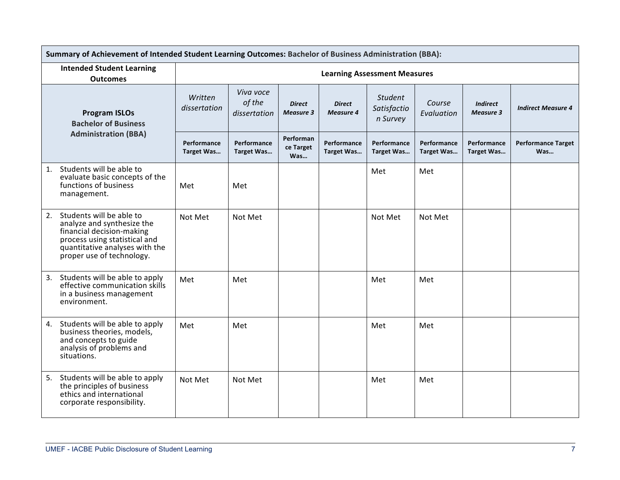|                                                                                                                                                                                           | Summary of Achievement of Intended Student Learning Outcomes: Bachelor of Business Administration (BBA): |                                     |                                   |                                   |                                           |                                  |                                     |                                  |  |
|-------------------------------------------------------------------------------------------------------------------------------------------------------------------------------------------|----------------------------------------------------------------------------------------------------------|-------------------------------------|-----------------------------------|-----------------------------------|-------------------------------------------|----------------------------------|-------------------------------------|----------------------------------|--|
| <b>Intended Student Learning</b><br><b>Outcomes</b>                                                                                                                                       |                                                                                                          | <b>Learning Assessment Measures</b> |                                   |                                   |                                           |                                  |                                     |                                  |  |
| <b>Program ISLOs</b><br><b>Bachelor of Business</b>                                                                                                                                       | Written<br>dissertation                                                                                  | Viva voce<br>of the<br>dissertation | <b>Direct</b><br><b>Measure 3</b> | <b>Direct</b><br><b>Measure 4</b> | <b>Student</b><br>Satisfactio<br>n Survey | Course<br>Evaluation             | <b>Indirect</b><br><b>Measure 3</b> | <b>Indirect Measure 4</b>        |  |
| <b>Administration (BBA)</b>                                                                                                                                                               | Performance<br>Target Was                                                                                | Performance<br><b>Target Was</b>    | Performan<br>ce Target<br>Was     | Performance<br><b>Target Was</b>  | Performance<br><b>Target Was</b>          | Performance<br><b>Target Was</b> | Performance<br>Target Was           | <b>Performance Target</b><br>Was |  |
| Students will be able to<br>1.<br>evaluate basic concepts of the<br>functions of business<br>management.                                                                                  | Met                                                                                                      | Met                                 |                                   |                                   | Met                                       | Met                              |                                     |                                  |  |
| Students will be able to<br>2.<br>analyze and synthesize the<br>financial decision-making<br>process using statistical and<br>quantitative analyses with the<br>proper use of technology. | Not Met                                                                                                  | Not Met                             |                                   |                                   | Not Met                                   | Not Met                          |                                     |                                  |  |
| Students will be able to apply<br>3.<br>effective communication skills<br>in a business management<br>environment.                                                                        | Met                                                                                                      | Met                                 |                                   |                                   | Met                                       | Met                              |                                     |                                  |  |
| Students will be able to apply<br>4.<br>business theories, models,<br>and concepts to guide<br>analysis of problems and<br>situations.                                                    | Met                                                                                                      | Met                                 |                                   |                                   | Met                                       | Met                              |                                     |                                  |  |
| Students will be able to apply<br>5.<br>the principles of business<br>ethics and international<br>corporate responsibility.                                                               | Not Met                                                                                                  | Not Met                             |                                   |                                   | Met                                       | Met                              |                                     |                                  |  |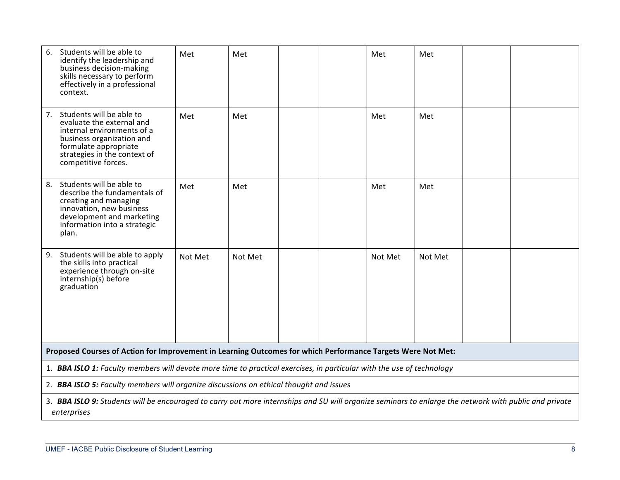| Students will be able to<br>6.<br>identify the leadership and<br>business decision-making<br>skills necessary to perform<br>effectively in a professional<br>context.                                  | Met     | Met     |  | Met     | Met     |  |
|--------------------------------------------------------------------------------------------------------------------------------------------------------------------------------------------------------|---------|---------|--|---------|---------|--|
| Students will be able to<br>7.<br>evaluate the external and<br>internal environments of a<br>business organization and<br>formulate appropriate<br>strategies in the context of<br>competitive forces. | Met     | Met     |  | Met     | Met     |  |
| Students will be able to<br>8.<br>describe the fundamentals of<br>creating and managing<br>innovation, new business<br>development and marketing<br>information into a strategic<br>plan.              | Met     | Met     |  | Met     | Met     |  |
| Students will be able to apply<br>9.<br>the skills into practical<br>experience through on-site<br>internship(s) before<br>graduation                                                                  | Not Met | Not Met |  | Not Met | Not Met |  |
| Proposed Courses of Action for Improvement in Learning Outcomes for which Performance Targets Were Not Met:                                                                                            |         |         |  |         |         |  |
| 1. BBA ISLO 1: Faculty members will devote more time to practical exercises, in particular with the use of technology                                                                                  |         |         |  |         |         |  |
| 2. BBA ISLO 5: Faculty members will organize discussions on ethical thought and issues                                                                                                                 |         |         |  |         |         |  |
| 3. BBA ISLO 9: Students will be encouraged to carry out more internships and SU will organize seminars to enlarge the network with public and private<br>enterprises                                   |         |         |  |         |         |  |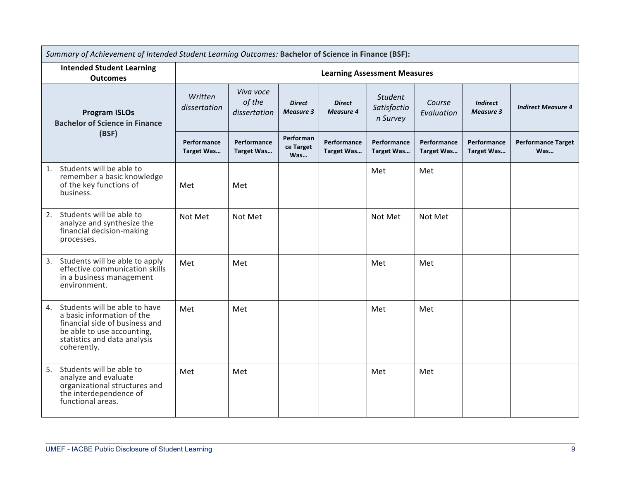| Summary of Achievement of Intended Student Learning Outcomes: Bachelor of Science in Finance (BSF):                                                                              |                                     |                                     |                                   |                                   |                                           |                                  |                                     |                                  |
|----------------------------------------------------------------------------------------------------------------------------------------------------------------------------------|-------------------------------------|-------------------------------------|-----------------------------------|-----------------------------------|-------------------------------------------|----------------------------------|-------------------------------------|----------------------------------|
| <b>Intended Student Learning</b><br><b>Outcomes</b>                                                                                                                              | <b>Learning Assessment Measures</b> |                                     |                                   |                                   |                                           |                                  |                                     |                                  |
| <b>Program ISLOs</b><br><b>Bachelor of Science in Finance</b>                                                                                                                    | Written<br>dissertation             | Viva voce<br>of the<br>dissertation | <b>Direct</b><br><b>Measure 3</b> | <b>Direct</b><br><b>Measure 4</b> | <b>Student</b><br>Satisfactio<br>n Survey | Course<br>Evaluation             | <b>Indirect</b><br><b>Measure 3</b> | <b>Indirect Measure 4</b>        |
| (BSF)                                                                                                                                                                            | Performance<br>Target Was           | Performance<br><b>Target Was</b>    | Performan<br>ce Target<br>Was     | Performance<br>Target Was         | Performance<br><b>Target Was</b>          | Performance<br><b>Target Was</b> | Performance<br>Target Was           | <b>Performance Target</b><br>Was |
| Students will be able to<br>1.<br>remember a basic knowledge<br>of the key functions of<br>business.                                                                             | Met                                 | Met                                 |                                   |                                   | Met                                       | Met                              |                                     |                                  |
| Students will be able to<br>2.<br>analyze and synthesize the<br>financial decision-making<br>processes.                                                                          | Not Met                             | Not Met                             |                                   |                                   | Not Met                                   | Not Met                          |                                     |                                  |
| Students will be able to apply<br>3.<br>effective communication skills<br>in a business management<br>environment.                                                               | Met                                 | Met                                 |                                   |                                   | Met                                       | Met                              |                                     |                                  |
| Students will be able to have<br>4.<br>a basic information of the<br>financial side of business and<br>be able to use accounting,<br>statistics and data analysis<br>coherently. | Met                                 | Met                                 |                                   |                                   | Met                                       | Met                              |                                     |                                  |
| Students will be able to<br>5.<br>analyze and evaluate<br>organizational structures and<br>the interdependence of<br>functional areas.                                           | Met                                 | Met                                 |                                   |                                   | Met                                       | Met                              |                                     |                                  |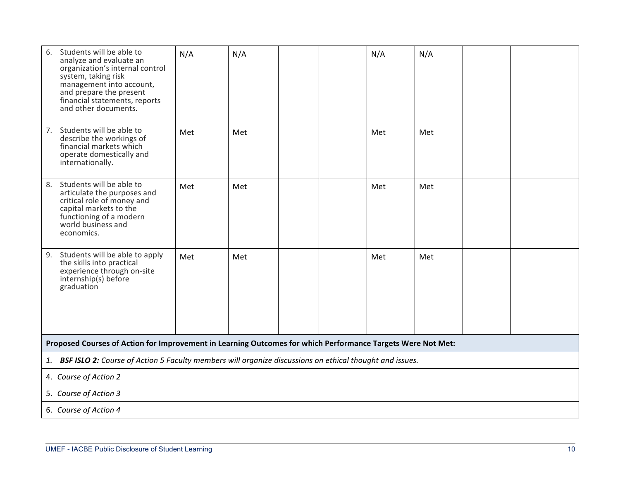| Students will be able to<br>6.<br>analyze and evaluate an<br>organization's internal control<br>system, taking risk<br>management into account,<br>and prepare the present<br>financial statements, reports<br>and other documents. | N/A | N/A |  |  | N/A | N/A |  |  |  |
|-------------------------------------------------------------------------------------------------------------------------------------------------------------------------------------------------------------------------------------|-----|-----|--|--|-----|-----|--|--|--|
| 7. Students will be able to<br>describe the workings of<br>financial markets which<br>operate domestically and<br>internationally.                                                                                                  | Met | Met |  |  | Met | Met |  |  |  |
| Students will be able to<br>8.<br>articulate the purposes and<br>critical role of money and<br>capital markets to the<br>functioning of a modern<br>world business and<br>economics.                                                | Met | Met |  |  | Met | Met |  |  |  |
| 9. Students will be able to apply<br>the skills into practical<br>experience through on-site<br>internship(s) before<br>graduation                                                                                                  | Met | Met |  |  | Met | Met |  |  |  |
| Proposed Courses of Action for Improvement in Learning Outcomes for which Performance Targets Were Not Met:                                                                                                                         |     |     |  |  |     |     |  |  |  |
| 1. BSF ISLO 2: Course of Action 5 Faculty members will organize discussions on ethical thought and issues.                                                                                                                          |     |     |  |  |     |     |  |  |  |
| 4. Course of Action 2                                                                                                                                                                                                               |     |     |  |  |     |     |  |  |  |
| 5. Course of Action 3                                                                                                                                                                                                               |     |     |  |  |     |     |  |  |  |
| 6. Course of Action 4                                                                                                                                                                                                               |     |     |  |  |     |     |  |  |  |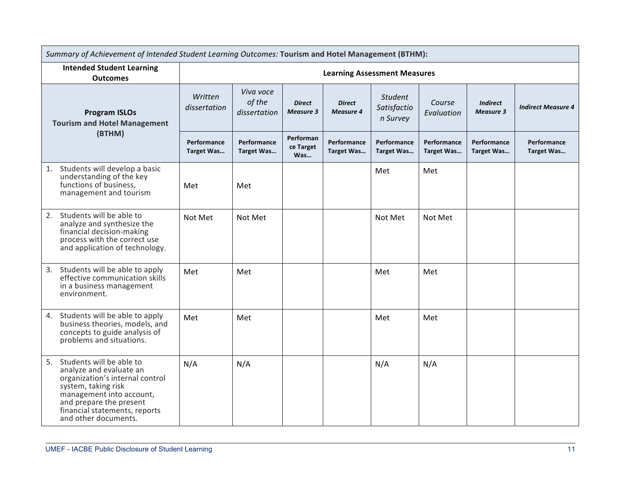|                                                                                                                                                                                                                                     | Summary of Achievement of Intended Student Learning Outcomes: Tourism and Hotel Management (BTHM): |                                     |                                   |                                   |                                           |                           |                                     |                           |
|-------------------------------------------------------------------------------------------------------------------------------------------------------------------------------------------------------------------------------------|----------------------------------------------------------------------------------------------------|-------------------------------------|-----------------------------------|-----------------------------------|-------------------------------------------|---------------------------|-------------------------------------|---------------------------|
| <b>Intended Student Learning</b><br><b>Outcomes</b>                                                                                                                                                                                 |                                                                                                    |                                     |                                   |                                   | <b>Learning Assessment Measures</b>       |                           |                                     |                           |
| <b>Program ISLOs</b><br><b>Tourism and Hotel Management</b>                                                                                                                                                                         | Written<br>dissertation                                                                            | Viva voce<br>of the<br>dissertation | <b>Direct</b><br><b>Measure 3</b> | <b>Direct</b><br><b>Measure 4</b> | <b>Student</b><br>Satisfactio<br>n Survey | Course<br>Evaluation      | <b>Indirect</b><br><b>Measure 3</b> | <b>Indirect Measure 4</b> |
| (BTHM)                                                                                                                                                                                                                              | Performance<br>Target Was                                                                          | Performance<br>Target Was           | Performan<br>ce Target<br>Was     | Performance<br>Target Was         | Performance<br>Target Was                 | Performance<br>Target Was | Performance<br><b>Target Was</b>    | Performance<br>Target Was |
| 1. Students will develop a basic<br>understanding of the key<br>functions of business,<br>management and tourism                                                                                                                    | Met                                                                                                | Met                                 |                                   |                                   | Met                                       | Met                       |                                     |                           |
| Students will be able to<br>2.<br>analyze and synthesize the<br>financial decision-making<br>process with the correct use<br>and application of technology.                                                                         | Not Met                                                                                            | Not Met                             |                                   |                                   | Not Met                                   | Not Met                   |                                     |                           |
| Students will be able to apply<br>3.<br>effective communication skills<br>in a business management<br>environment.                                                                                                                  | Met                                                                                                | Met                                 |                                   |                                   | Met                                       | Met                       |                                     |                           |
| Students will be able to apply<br>4.<br>business theories, models, and<br>concepts to guide analysis of<br>problems and situations.                                                                                                 | Met                                                                                                | Met                                 |                                   |                                   | Met                                       | Met                       |                                     |                           |
| Students will be able to<br>5.<br>analyze and evaluate an<br>organization's internal control<br>system, taking risk<br>management into account,<br>and prepare the present<br>financial statements, reports<br>and other documents. | N/A                                                                                                | N/A                                 |                                   |                                   | N/A                                       | N/A                       |                                     |                           |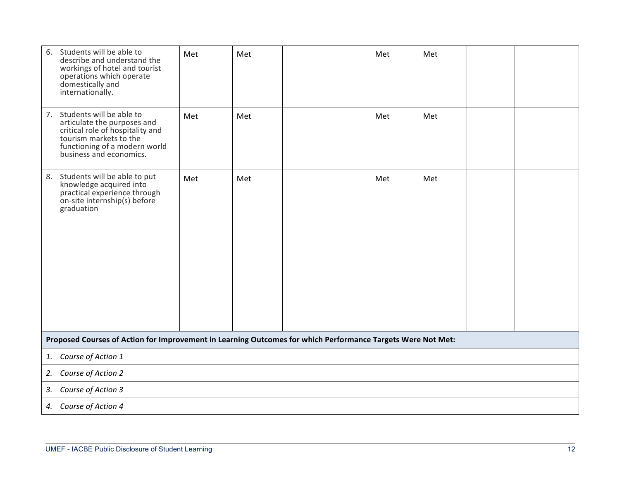| Students will be able to<br>6.<br>describe and understand the<br>workings of hotel and tourist<br>operations which operate<br>domestically and<br>internationally.                   | Met | Met |  | Met | Met |  |
|--------------------------------------------------------------------------------------------------------------------------------------------------------------------------------------|-----|-----|--|-----|-----|--|
| 7. Students will be able to<br>articulate the purposes and<br>critical role of hospitality and<br>tourism markets to the<br>functioning of a modern world<br>business and economics. | Met | Met |  | Met | Met |  |
| Students will be able to put<br>8.<br>knowledge acquired into<br>practical experience through<br>on-site internship(s) before<br>graduation                                          | Met | Met |  | Met | Met |  |
| Proposed Courses of Action for Improvement in Learning Outcomes for which Performance Targets Were Not Met:                                                                          |     |     |  |     |     |  |
| 1. Course of Action 1                                                                                                                                                                |     |     |  |     |     |  |
| Course of Action 2<br>2.                                                                                                                                                             |     |     |  |     |     |  |
| Course of Action 3<br>3.                                                                                                                                                             |     |     |  |     |     |  |
| 4. Course of Action 4                                                                                                                                                                |     |     |  |     |     |  |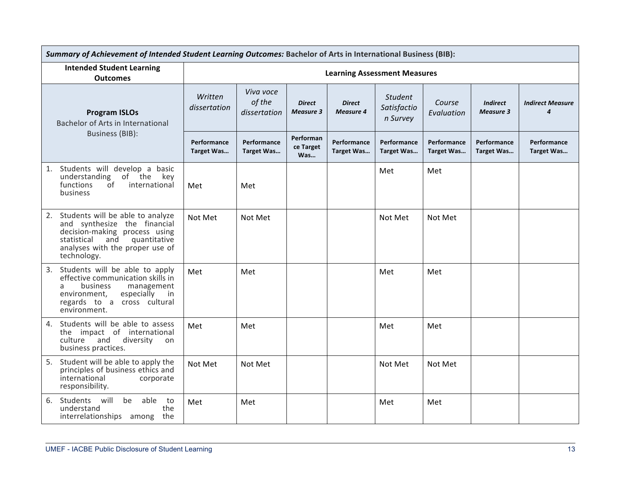|    |                                                                                                                                                                                           | Summary of Achievement of Intended Student Learning Outcomes: Bachelor of Arts in International Business (BIB): |                                     |                                   |                                   |                                           |                           |                                     |                                             |  |
|----|-------------------------------------------------------------------------------------------------------------------------------------------------------------------------------------------|-----------------------------------------------------------------------------------------------------------------|-------------------------------------|-----------------------------------|-----------------------------------|-------------------------------------------|---------------------------|-------------------------------------|---------------------------------------------|--|
|    | <b>Intended Student Learning</b><br><b>Outcomes</b>                                                                                                                                       | <b>Learning Assessment Measures</b>                                                                             |                                     |                                   |                                   |                                           |                           |                                     |                                             |  |
|    | <b>Program ISLOs</b><br>Bachelor of Arts in International                                                                                                                                 | Written<br>dissertation                                                                                         | Viva voce<br>of the<br>dissertation | <b>Direct</b><br><b>Measure 3</b> | <b>Direct</b><br><b>Measure 4</b> | <b>Student</b><br>Satisfactio<br>n Survey | Course<br>Evaluation      | <b>Indirect</b><br><b>Measure 3</b> | <b>Indirect Measure</b><br>$\boldsymbol{4}$ |  |
|    | <b>Business (BIB):</b>                                                                                                                                                                    | Performance<br>Target Was                                                                                       | Performance<br>Target Was           | Performan<br>ce Target<br>Was     | Performance<br>Target Was         | Performance<br>Target Was                 | Performance<br>Target Was | Performance<br>Target Was           | Performance<br>Target Was                   |  |
| 1. | Students will develop a basic<br>understanding of the key<br>functions<br>international<br>of<br>business                                                                                 | Met                                                                                                             | Met                                 |                                   |                                   | Met                                       | Met                       |                                     |                                             |  |
| 2. | Students will be able to analyze<br>and synthesize the financial<br>decision-making process using<br>statistical<br>quantitative<br>and<br>analyses with the proper use of<br>technology. | Not Met                                                                                                         | Not Met                             |                                   |                                   | Not Met                                   | Not Met                   |                                     |                                             |  |
|    | 3. Students will be able to apply<br>effective communication skills in<br>business<br>management<br>a<br>environment,<br>especially<br>in<br>regards to a cross cultural<br>environment.  | Met                                                                                                             | Met                                 |                                   |                                   | Met                                       | Met                       |                                     |                                             |  |
|    | 4. Students will be able to assess<br>the impact of international<br>culture and<br>diversity<br>on<br>business practices.                                                                | Met                                                                                                             | Met                                 |                                   |                                   | Met                                       | Met                       |                                     |                                             |  |
| 5. | Student will be able to apply the<br>principles of business ethics and<br>international<br>corporate<br>responsibility.                                                                   | Not Met                                                                                                         | Not Met                             |                                   |                                   | Not Met                                   | Not Met                   |                                     |                                             |  |
|    | 6. Students will<br>be<br>able<br>to<br>understand<br>the<br>interrelationships among<br>the                                                                                              | Met                                                                                                             | Met                                 |                                   |                                   | Met                                       | Met                       |                                     |                                             |  |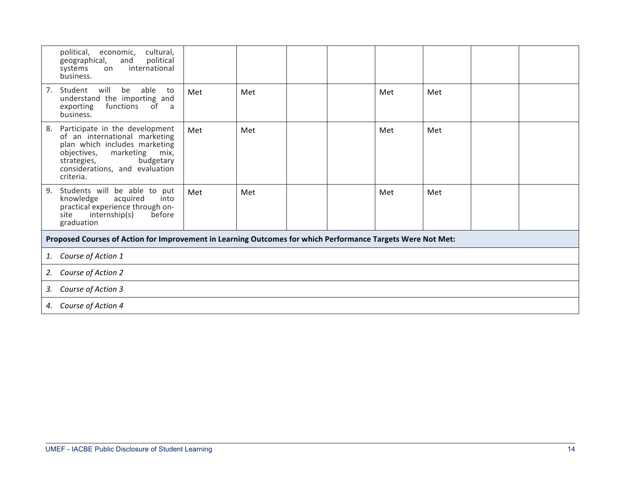| political,<br>cultural,<br>economic,<br>political<br>geographical,<br>and<br>international<br>systems<br>on<br>business.                                                                                              |                                                                                                             |     |  |  |     |     |  |
|-----------------------------------------------------------------------------------------------------------------------------------------------------------------------------------------------------------------------|-------------------------------------------------------------------------------------------------------------|-----|--|--|-----|-----|--|
| Student<br>will<br>able<br>7.<br>be<br>to<br>understand the importing and<br>functions<br>exporting<br>0f<br>a,<br>business.                                                                                          | Met                                                                                                         | Met |  |  | Met | Met |  |
| Participate in the development<br>8.<br>of an international marketing<br>plan which includes marketing<br>marketing<br>objectives,<br>mix,<br>budgetary<br>strategies,<br>considerations, and evaluation<br>criteria. | Met                                                                                                         | Met |  |  | Met | Met |  |
| Students will be able to put<br>9.<br>knowledge<br>into<br>acquired<br>practical experience through on-<br>internship(s)<br>before<br>site<br>graduation                                                              | Met                                                                                                         | Met |  |  | Met | Met |  |
|                                                                                                                                                                                                                       | Proposed Courses of Action for Improvement in Learning Outcomes for which Performance Targets Were Not Met: |     |  |  |     |     |  |
| Course of Action 1<br>1.                                                                                                                                                                                              |                                                                                                             |     |  |  |     |     |  |
| Course of Action 2<br>2.                                                                                                                                                                                              |                                                                                                             |     |  |  |     |     |  |
| 3. Course of Action 3                                                                                                                                                                                                 |                                                                                                             |     |  |  |     |     |  |
| 4. Course of Action 4                                                                                                                                                                                                 |                                                                                                             |     |  |  |     |     |  |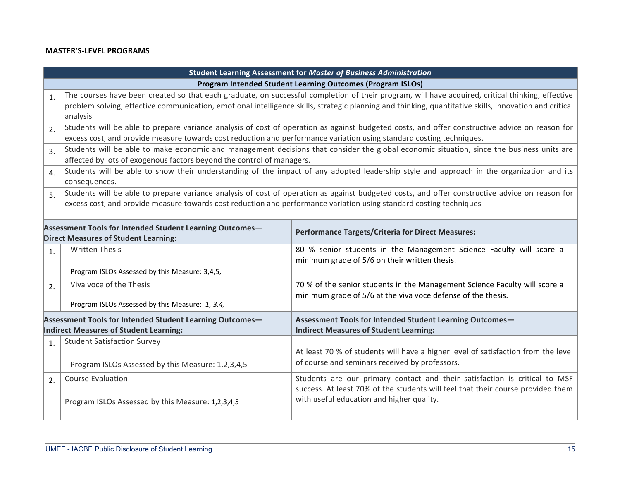## **MASTER'S-LEVEL PROGRAMS**

| Student Learning Assessment for Master of Business Administration                                         |                                                                                                                                                                                                                                                                                                                        |                                                                                                                                                                                                            |  |  |
|-----------------------------------------------------------------------------------------------------------|------------------------------------------------------------------------------------------------------------------------------------------------------------------------------------------------------------------------------------------------------------------------------------------------------------------------|------------------------------------------------------------------------------------------------------------------------------------------------------------------------------------------------------------|--|--|
| Program Intended Student Learning Outcomes (Program ISLOs)                                                |                                                                                                                                                                                                                                                                                                                        |                                                                                                                                                                                                            |  |  |
| 1.                                                                                                        | The courses have been created so that each graduate, on successful completion of their program, will have acquired, critical thinking, effective<br>problem solving, effective communication, emotional intelligence skills, strategic planning and thinking, quantitative skills, innovation and critical<br>analysis |                                                                                                                                                                                                            |  |  |
| 2.                                                                                                        | Students will be able to prepare variance analysis of cost of operation as against budgeted costs, and offer constructive advice on reason for<br>excess cost, and provide measure towards cost reduction and performance variation using standard costing techniques.                                                 |                                                                                                                                                                                                            |  |  |
| 3.                                                                                                        | affected by lots of exogenous factors beyond the control of managers.                                                                                                                                                                                                                                                  | Students will be able to make economic and management decisions that consider the global economic situation, since the business units are                                                                  |  |  |
| $\overline{4}$ .                                                                                          | consequences.                                                                                                                                                                                                                                                                                                          | Students will be able to show their understanding of the impact of any adopted leadership style and approach in the organization and its                                                                   |  |  |
| 5 <sub>1</sub>                                                                                            | Students will be able to prepare variance analysis of cost of operation as against budgeted costs, and offer constructive advice on reason for<br>excess cost, and provide measure towards cost reduction and performance variation using standard costing techniques                                                  |                                                                                                                                                                                                            |  |  |
| Assessment Tools for Intended Student Learning Outcomes-<br><b>Direct Measures of Student Learning:</b>   |                                                                                                                                                                                                                                                                                                                        | <b>Performance Targets/Criteria for Direct Measures:</b>                                                                                                                                                   |  |  |
| $\mathbf{1}$ .                                                                                            | <b>Written Thesis</b><br>Program ISLOs Assessed by this Measure: 3,4,5,                                                                                                                                                                                                                                                | 80 % senior students in the Management Science Faculty will score a<br>minimum grade of 5/6 on their written thesis.                                                                                       |  |  |
| 2.                                                                                                        | Viva voce of the Thesis<br>Program ISLOs Assessed by this Measure: 1, 3,4,                                                                                                                                                                                                                                             | 70 % of the senior students in the Management Science Faculty will score a<br>minimum grade of 5/6 at the viva voce defense of the thesis.                                                                 |  |  |
| Assessment Tools for Intended Student Learning Outcomes-<br><b>Indirect Measures of Student Learning:</b> |                                                                                                                                                                                                                                                                                                                        | Assessment Tools for Intended Student Learning Outcomes-<br><b>Indirect Measures of Student Learning:</b>                                                                                                  |  |  |
| 1.                                                                                                        | <b>Student Satisfaction Survey</b><br>Program ISLOs Assessed by this Measure: 1,2,3,4,5                                                                                                                                                                                                                                | At least 70 % of students will have a higher level of satisfaction from the level<br>of course and seminars received by professors.                                                                        |  |  |
| 2.                                                                                                        | <b>Course Evaluation</b><br>Program ISLOs Assessed by this Measure: 1,2,3,4,5                                                                                                                                                                                                                                          | Students are our primary contact and their satisfaction is critical to MSF<br>success. At least 70% of the students will feel that their course provided them<br>with useful education and higher quality. |  |  |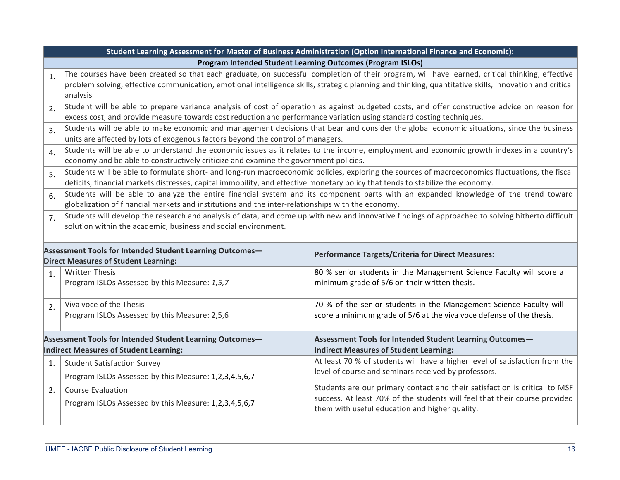|                                                                | Student Learning Assessment for Master of Business Administration (Option International Finance and Economic):                 |                                                                                                                                                        |  |  |  |
|----------------------------------------------------------------|--------------------------------------------------------------------------------------------------------------------------------|--------------------------------------------------------------------------------------------------------------------------------------------------------|--|--|--|
| Program Intended Student Learning Outcomes (Program ISLOs)     |                                                                                                                                |                                                                                                                                                        |  |  |  |
| $\mathbf{1}$ .                                                 |                                                                                                                                | The courses have been created so that each graduate, on successful completion of their program, will have learned, critical thinking, effective        |  |  |  |
|                                                                |                                                                                                                                | problem solving, effective communication, emotional intelligence skills, strategic planning and thinking, quantitative skills, innovation and critical |  |  |  |
|                                                                | analysis                                                                                                                       |                                                                                                                                                        |  |  |  |
| 2.                                                             |                                                                                                                                | Student will be able to prepare variance analysis of cost of operation as against budgeted costs, and offer constructive advice on reason for          |  |  |  |
|                                                                | excess cost, and provide measure towards cost reduction and performance variation using standard costing techniques.           |                                                                                                                                                        |  |  |  |
| 3.                                                             |                                                                                                                                | Students will be able to make economic and management decisions that bear and consider the global economic situations, since the business              |  |  |  |
|                                                                | units are affected by lots of exogenous factors beyond the control of managers.                                                |                                                                                                                                                        |  |  |  |
| $\overline{4}$ .                                               |                                                                                                                                | Students will be able to understand the economic issues as it relates to the income, employment and economic growth indexes in a country's             |  |  |  |
|                                                                | economy and be able to constructively criticize and examine the government policies.                                           |                                                                                                                                                        |  |  |  |
| 5.                                                             |                                                                                                                                | Students will be able to formulate short- and long-run macroeconomic policies, exploring the sources of macroeconomics fluctuations, the fiscal        |  |  |  |
|                                                                | deficits, financial markets distresses, capital immobility, and effective monetary policy that tends to stabilize the economy. |                                                                                                                                                        |  |  |  |
| 6.                                                             |                                                                                                                                | Students will be able to analyze the entire financial system and its component parts with an expanded knowledge of the trend toward                    |  |  |  |
|                                                                | globalization of financial markets and institutions and the inter-relationships with the economy.                              |                                                                                                                                                        |  |  |  |
| 7 <sub>1</sub>                                                 |                                                                                                                                | Students will develop the research and analysis of data, and come up with new and innovative findings of approached to solving hitherto difficult      |  |  |  |
| solution within the academic, business and social environment. |                                                                                                                                |                                                                                                                                                        |  |  |  |
|                                                                |                                                                                                                                |                                                                                                                                                        |  |  |  |
|                                                                | Assessment Tools for Intended Student Learning Outcomes-                                                                       | <b>Performance Targets/Criteria for Direct Measures:</b>                                                                                               |  |  |  |
|                                                                | <b>Direct Measures of Student Learning:</b>                                                                                    |                                                                                                                                                        |  |  |  |
| $\overline{1}$ .                                               | <b>Written Thesis</b>                                                                                                          | 80 % senior students in the Management Science Faculty will score a                                                                                    |  |  |  |
|                                                                | Program ISLOs Assessed by this Measure: 1,5,7                                                                                  | minimum grade of 5/6 on their written thesis.                                                                                                          |  |  |  |
|                                                                |                                                                                                                                |                                                                                                                                                        |  |  |  |
| 2.                                                             | Viva voce of the Thesis                                                                                                        | 70 % of the senior students in the Management Science Faculty will                                                                                     |  |  |  |
|                                                                | Program ISLOs Assessed by this Measure: 2,5,6                                                                                  | score a minimum grade of 5/6 at the viva voce defense of the thesis.                                                                                   |  |  |  |
|                                                                |                                                                                                                                |                                                                                                                                                        |  |  |  |
|                                                                | Assessment Tools for Intended Student Learning Outcomes-                                                                       | Assessment Tools for Intended Student Learning Outcomes-                                                                                               |  |  |  |
|                                                                | <b>Indirect Measures of Student Learning:</b>                                                                                  | <b>Indirect Measures of Student Learning:</b>                                                                                                          |  |  |  |
| 1.                                                             | <b>Student Satisfaction Survey</b>                                                                                             | At least 70 % of students will have a higher level of satisfaction from the                                                                            |  |  |  |
|                                                                | Program ISLOs Assessed by this Measure: 1,2,3,4,5,6,7                                                                          | level of course and seminars received by professors.                                                                                                   |  |  |  |
| 2.                                                             | <b>Course Evaluation</b>                                                                                                       | Students are our primary contact and their satisfaction is critical to MSF                                                                             |  |  |  |
|                                                                |                                                                                                                                | success. At least 70% of the students will feel that their course provided                                                                             |  |  |  |
|                                                                | Program ISLOs Assessed by this Measure: 1,2,3,4,5,6,7                                                                          | them with useful education and higher quality.                                                                                                         |  |  |  |
|                                                                |                                                                                                                                |                                                                                                                                                        |  |  |  |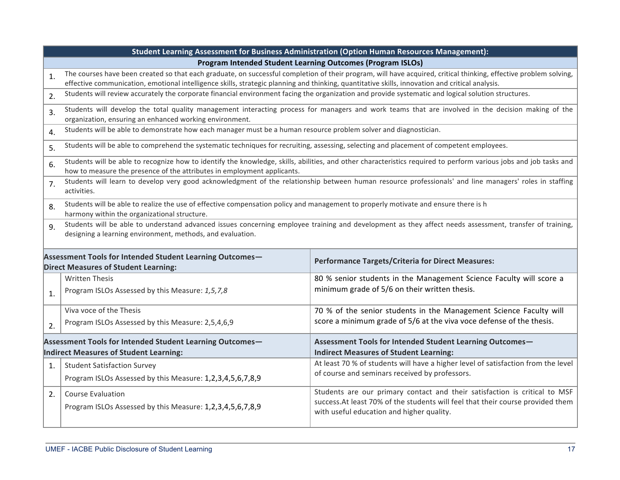| Student Learning Assessment for Business Administration (Option Human Resources Management):                                                                                                                                |                                                                                                                                                                                                                                                                                                                      |                                                                                                                                                                                                           |  |  |
|-----------------------------------------------------------------------------------------------------------------------------------------------------------------------------------------------------------------------------|----------------------------------------------------------------------------------------------------------------------------------------------------------------------------------------------------------------------------------------------------------------------------------------------------------------------|-----------------------------------------------------------------------------------------------------------------------------------------------------------------------------------------------------------|--|--|
| Program Intended Student Learning Outcomes (Program ISLOs)                                                                                                                                                                  |                                                                                                                                                                                                                                                                                                                      |                                                                                                                                                                                                           |  |  |
| $\mathbf{1}$ .                                                                                                                                                                                                              | The courses have been created so that each graduate, on successful completion of their program, will have acquired, critical thinking, effective problem solving,<br>effective communication, emotional intelligence skills, strategic planning and thinking, quantitative skills, innovation and critical analysis. |                                                                                                                                                                                                           |  |  |
| 2.                                                                                                                                                                                                                          | Students will review accurately the corporate financial environment facing the organization and provide systematic and logical solution structures.                                                                                                                                                                  |                                                                                                                                                                                                           |  |  |
| 3.                                                                                                                                                                                                                          | Students will develop the total quality management interacting process for managers and work teams that are involved in the decision making of the<br>organization, ensuring an enhanced working environment.                                                                                                        |                                                                                                                                                                                                           |  |  |
| $\overline{4}$ .                                                                                                                                                                                                            | Students will be able to demonstrate how each manager must be a human resource problem solver and diagnostician.                                                                                                                                                                                                     |                                                                                                                                                                                                           |  |  |
| 5.                                                                                                                                                                                                                          | Students will be able to comprehend the systematic techniques for recruiting, assessing, selecting and placement of competent employees.                                                                                                                                                                             |                                                                                                                                                                                                           |  |  |
| 6.                                                                                                                                                                                                                          | Students will be able to recognize how to identify the knowledge, skills, abilities, and other characteristics required to perform various jobs and job tasks and<br>how to measure the presence of the attributes in employment applicants.                                                                         |                                                                                                                                                                                                           |  |  |
| 7.                                                                                                                                                                                                                          | Students will learn to develop very good acknowledgment of the relationship between human resource professionals' and line managers' roles in staffing<br>activities.                                                                                                                                                |                                                                                                                                                                                                           |  |  |
| 8.                                                                                                                                                                                                                          | Students will be able to realize the use of effective compensation policy and management to properly motivate and ensure there is h<br>harmony within the organizational structure.                                                                                                                                  |                                                                                                                                                                                                           |  |  |
| Students will be able to understand advanced issues concerning employee training and development as they affect needs assessment, transfer of training,<br>9.<br>designing a learning environment, methods, and evaluation. |                                                                                                                                                                                                                                                                                                                      |                                                                                                                                                                                                           |  |  |
|                                                                                                                                                                                                                             | Assessment Tools for Intended Student Learning Outcomes-<br><b>Direct Measures of Student Learning:</b>                                                                                                                                                                                                              | <b>Performance Targets/Criteria for Direct Measures:</b>                                                                                                                                                  |  |  |
| 1.                                                                                                                                                                                                                          | <b>Written Thesis</b><br>Program ISLOs Assessed by this Measure: 1,5,7,8                                                                                                                                                                                                                                             | 80 % senior students in the Management Science Faculty will score a<br>minimum grade of 5/6 on their written thesis.                                                                                      |  |  |
| 2.                                                                                                                                                                                                                          | Viva voce of the Thesis<br>Program ISLOs Assessed by this Measure: 2,5,4,6,9                                                                                                                                                                                                                                         | 70 % of the senior students in the Management Science Faculty will<br>score a minimum grade of 5/6 at the viva voce defense of the thesis.                                                                |  |  |
| Assessment Tools for Intended Student Learning Outcomes-<br><b>Indirect Measures of Student Learning:</b>                                                                                                                   |                                                                                                                                                                                                                                                                                                                      | Assessment Tools for Intended Student Learning Outcomes-<br><b>Indirect Measures of Student Learning:</b>                                                                                                 |  |  |
| 1.                                                                                                                                                                                                                          | <b>Student Satisfaction Survey</b><br>Program ISLOs Assessed by this Measure: 1,2,3,4,5,6,7,8,9                                                                                                                                                                                                                      | At least 70 % of students will have a higher level of satisfaction from the level<br>of course and seminars received by professors.                                                                       |  |  |
| 2.                                                                                                                                                                                                                          | <b>Course Evaluation</b><br>Program ISLOs Assessed by this Measure: 1,2,3,4,5,6,7,8,9                                                                                                                                                                                                                                | Students are our primary contact and their satisfaction is critical to MSF<br>success.At least 70% of the students will feel that their course provided them<br>with useful education and higher quality. |  |  |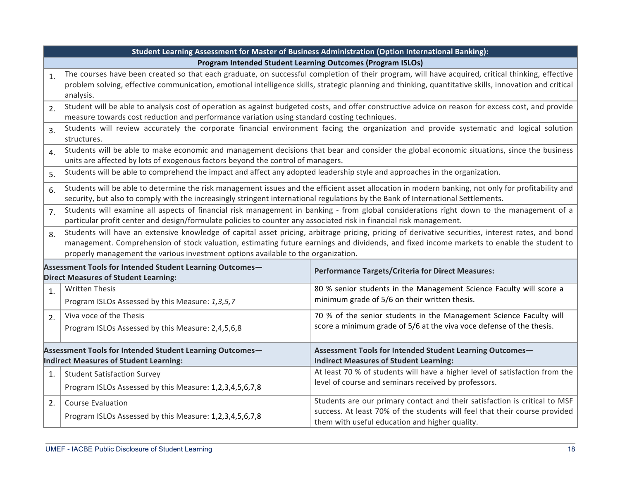|                                                                                                    | Student Learning Assessment for Master of Business Administration (Option International Banking):                                                                                                                                                                                                                                                                                   |                                                                                                                                                        |  |
|----------------------------------------------------------------------------------------------------|-------------------------------------------------------------------------------------------------------------------------------------------------------------------------------------------------------------------------------------------------------------------------------------------------------------------------------------------------------------------------------------|--------------------------------------------------------------------------------------------------------------------------------------------------------|--|
| Program Intended Student Learning Outcomes (Program ISLOs)                                         |                                                                                                                                                                                                                                                                                                                                                                                     |                                                                                                                                                        |  |
| 1.                                                                                                 | The courses have been created so that each graduate, on successful completion of their program, will have acquired, critical thinking, effective                                                                                                                                                                                                                                    |                                                                                                                                                        |  |
|                                                                                                    |                                                                                                                                                                                                                                                                                                                                                                                     | problem solving, effective communication, emotional intelligence skills, strategic planning and thinking, quantitative skills, innovation and critical |  |
|                                                                                                    | analysis.<br>Student will be able to analysis cost of operation as against budgeted costs, and offer constructive advice on reason for excess cost, and provide                                                                                                                                                                                                                     |                                                                                                                                                        |  |
| 2.                                                                                                 | measure towards cost reduction and performance variation using standard costing techniques.                                                                                                                                                                                                                                                                                         |                                                                                                                                                        |  |
| $\overline{3}$ .                                                                                   | Students will review accurately the corporate financial environment facing the organization and provide systematic and logical solution<br>structures.                                                                                                                                                                                                                              |                                                                                                                                                        |  |
| $\overline{4}$ .                                                                                   | Students will be able to make economic and management decisions that bear and consider the global economic situations, since the business<br>units are affected by lots of exogenous factors beyond the control of managers.                                                                                                                                                        |                                                                                                                                                        |  |
| 5.                                                                                                 | Students will be able to comprehend the impact and affect any adopted leadership style and approaches in the organization.                                                                                                                                                                                                                                                          |                                                                                                                                                        |  |
| 6.                                                                                                 | Students will be able to determine the risk management issues and the efficient asset allocation in modern banking, not only for profitability and<br>security, but also to comply with the increasingly stringent international regulations by the Bank of International Settlements.                                                                                              |                                                                                                                                                        |  |
| 7 <sub>1</sub>                                                                                     | Students will examine all aspects of financial risk management in banking - from global considerations right down to the management of a<br>particular profit center and design/formulate policies to counter any associated risk in financial risk management.                                                                                                                     |                                                                                                                                                        |  |
| 8.                                                                                                 | Students will have an extensive knowledge of capital asset pricing, arbitrage pricing, pricing of derivative securities, interest rates, and bond<br>management. Comprehension of stock valuation, estimating future earnings and dividends, and fixed income markets to enable the student to<br>properly management the various investment options available to the organization. |                                                                                                                                                        |  |
|                                                                                                    | Assessment Tools for Intended Student Learning Outcomes-<br><b>Performance Targets/Criteria for Direct Measures:</b><br><b>Direct Measures of Student Learning:</b>                                                                                                                                                                                                                 |                                                                                                                                                        |  |
| 1.                                                                                                 | <b>Written Thesis</b>                                                                                                                                                                                                                                                                                                                                                               | 80 % senior students in the Management Science Faculty will score a                                                                                    |  |
|                                                                                                    | Program ISLOs Assessed by this Measure: 1,3,5,7                                                                                                                                                                                                                                                                                                                                     | minimum grade of 5/6 on their written thesis.                                                                                                          |  |
| 2.                                                                                                 | Viva voce of the Thesis                                                                                                                                                                                                                                                                                                                                                             | 70 % of the senior students in the Management Science Faculty will                                                                                     |  |
|                                                                                                    | Program ISLOs Assessed by this Measure: 2,4,5,6,8                                                                                                                                                                                                                                                                                                                                   | score a minimum grade of 5/6 at the viva voce defense of the thesis.                                                                                   |  |
| Assessment Tools for Intended Student Learning Outcomes-<br>Indirect Measures of Student Learning: |                                                                                                                                                                                                                                                                                                                                                                                     | Assessment Tools for Intended Student Learning Outcomes-<br><b>Indirect Measures of Student Learning:</b>                                              |  |
| 1.                                                                                                 | <b>Student Satisfaction Survey</b>                                                                                                                                                                                                                                                                                                                                                  | At least 70 % of students will have a higher level of satisfaction from the                                                                            |  |
|                                                                                                    | Program ISLOs Assessed by this Measure: 1,2,3,4,5,6,7,8                                                                                                                                                                                                                                                                                                                             | level of course and seminars received by professors.                                                                                                   |  |
| 2.                                                                                                 | <b>Course Evaluation</b>                                                                                                                                                                                                                                                                                                                                                            | Students are our primary contact and their satisfaction is critical to MSF                                                                             |  |
|                                                                                                    | Program ISLOs Assessed by this Measure: 1,2,3,4,5,6,7,8                                                                                                                                                                                                                                                                                                                             | success. At least 70% of the students will feel that their course provided<br>them with useful education and higher quality.                           |  |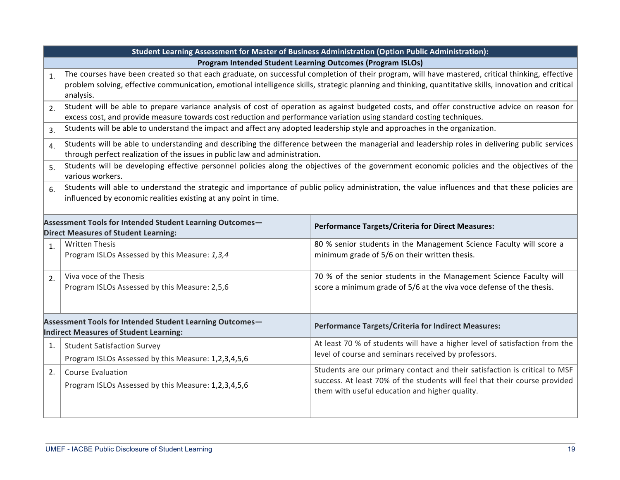|                                                                                                    | Student Learning Assessment for Master of Business Administration (Option Public Administration):                                                                                                                                                                                                                       |                                                                                                                                                                                                            |  |  |  |
|----------------------------------------------------------------------------------------------------|-------------------------------------------------------------------------------------------------------------------------------------------------------------------------------------------------------------------------------------------------------------------------------------------------------------------------|------------------------------------------------------------------------------------------------------------------------------------------------------------------------------------------------------------|--|--|--|
| Program Intended Student Learning Outcomes (Program ISLOs)                                         |                                                                                                                                                                                                                                                                                                                         |                                                                                                                                                                                                            |  |  |  |
| $\mathbf{1}$ .                                                                                     | The courses have been created so that each graduate, on successful completion of their program, will have mastered, critical thinking, effective<br>problem solving, effective communication, emotional intelligence skills, strategic planning and thinking, quantitative skills, innovation and critical<br>analysis. |                                                                                                                                                                                                            |  |  |  |
| 2.                                                                                                 | excess cost, and provide measure towards cost reduction and performance variation using standard costing techniques.                                                                                                                                                                                                    | Student will be able to prepare variance analysis of cost of operation as against budgeted costs, and offer constructive advice on reason for                                                              |  |  |  |
| 3.                                                                                                 | Students will be able to understand the impact and affect any adopted leadership style and approaches in the organization.                                                                                                                                                                                              |                                                                                                                                                                                                            |  |  |  |
| $\overline{4}$ .                                                                                   | through perfect realization of the issues in public law and administration.                                                                                                                                                                                                                                             | Students will be able to understanding and describing the difference between the managerial and leadership roles in delivering public services                                                             |  |  |  |
| 5.                                                                                                 | Students will be developing effective personnel policies along the objectives of the government economic policies and the objectives of the<br>various workers.                                                                                                                                                         |                                                                                                                                                                                                            |  |  |  |
| 6.                                                                                                 | Students will able to understand the strategic and importance of public policy administration, the value influences and that these policies are<br>influenced by economic realities existing at any point in time.                                                                                                      |                                                                                                                                                                                                            |  |  |  |
|                                                                                                    | Assessment Tools for Intended Student Learning Outcomes-<br><b>Direct Measures of Student Learning:</b>                                                                                                                                                                                                                 | <b>Performance Targets/Criteria for Direct Measures:</b>                                                                                                                                                   |  |  |  |
| $\mathbf{1}$ .                                                                                     | <b>Written Thesis</b><br>Program ISLOs Assessed by this Measure: 1,3,4                                                                                                                                                                                                                                                  | 80 % senior students in the Management Science Faculty will score a<br>minimum grade of 5/6 on their written thesis.                                                                                       |  |  |  |
| 2.                                                                                                 | Viva voce of the Thesis<br>Program ISLOs Assessed by this Measure: 2,5,6                                                                                                                                                                                                                                                | 70 % of the senior students in the Management Science Faculty will<br>score a minimum grade of 5/6 at the viva voce defense of the thesis.                                                                 |  |  |  |
| Assessment Tools for Intended Student Learning Outcomes-<br>Indirect Measures of Student Learning: |                                                                                                                                                                                                                                                                                                                         | <b>Performance Targets/Criteria for Indirect Measures:</b>                                                                                                                                                 |  |  |  |
| 1.                                                                                                 | <b>Student Satisfaction Survey</b><br>Program ISLOs Assessed by this Measure: 1,2,3,4,5,6                                                                                                                                                                                                                               | At least 70 % of students will have a higher level of satisfaction from the<br>level of course and seminars received by professors.                                                                        |  |  |  |
| 2.                                                                                                 | <b>Course Evaluation</b><br>Program ISLOs Assessed by this Measure: 1,2,3,4,5,6                                                                                                                                                                                                                                         | Students are our primary contact and their satisfaction is critical to MSF<br>success. At least 70% of the students will feel that their course provided<br>them with useful education and higher quality. |  |  |  |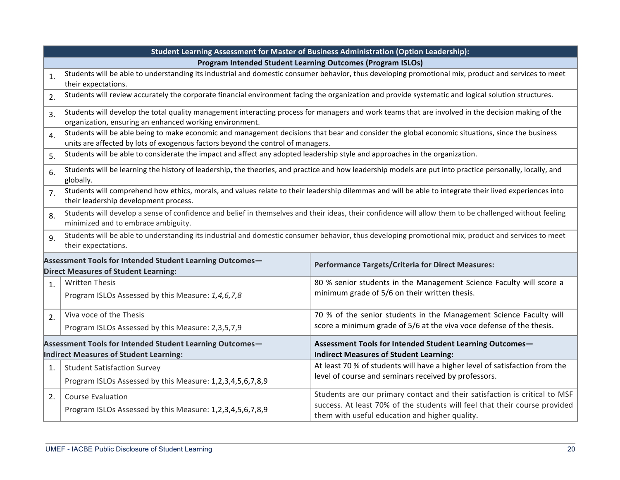|                  | Student Learning Assessment for Master of Business Administration (Option Leadership):                                                                                                                         |                                                                                                                                                     |  |  |  |
|------------------|----------------------------------------------------------------------------------------------------------------------------------------------------------------------------------------------------------------|-----------------------------------------------------------------------------------------------------------------------------------------------------|--|--|--|
|                  | Program Intended Student Learning Outcomes (Program ISLOs)                                                                                                                                                     |                                                                                                                                                     |  |  |  |
| $\mathbf{1}$ .   | Students will be able to understanding its industrial and domestic consumer behavior, thus developing promotional mix, product and services to meet                                                            |                                                                                                                                                     |  |  |  |
|                  | their expectations.                                                                                                                                                                                            |                                                                                                                                                     |  |  |  |
| 2.               |                                                                                                                                                                                                                | Students will review accurately the corporate financial environment facing the organization and provide systematic and logical solution structures. |  |  |  |
| 3.               |                                                                                                                                                                                                                | Students will develop the total quality management interacting process for managers and work teams that are involved in the decision making of the  |  |  |  |
|                  | organization, ensuring an enhanced working environment.                                                                                                                                                        |                                                                                                                                                     |  |  |  |
| $\overline{4}$ . |                                                                                                                                                                                                                | Students will be able being to make economic and management decisions that bear and consider the global economic situations, since the business     |  |  |  |
|                  | units are affected by lots of exogenous factors beyond the control of managers.<br>Students will be able to considerate the impact and affect any adopted leadership style and approaches in the organization. |                                                                                                                                                     |  |  |  |
| 5.               |                                                                                                                                                                                                                |                                                                                                                                                     |  |  |  |
| 6.               | Students will be learning the history of leadership, the theories, and practice and how leadership models are put into practice personally, locally, and<br>globally.                                          |                                                                                                                                                     |  |  |  |
| 7 <sub>1</sub>   | Students will comprehend how ethics, morals, and values relate to their leadership dilemmas and will be able to integrate their lived experiences into                                                         |                                                                                                                                                     |  |  |  |
|                  | their leadership development process.                                                                                                                                                                          |                                                                                                                                                     |  |  |  |
| 8.               | Students will develop a sense of confidence and belief in themselves and their ideas, their confidence will allow them to be challenged without feeling<br>minimized and to embrace ambiguity.                 |                                                                                                                                                     |  |  |  |
| 9.               | Students will be able to understanding its industrial and domestic consumer behavior, thus developing promotional mix, product and services to meet<br>their expectations.                                     |                                                                                                                                                     |  |  |  |
|                  | Assessment Tools for Intended Student Learning Outcomes-<br><b>Performance Targets/Criteria for Direct Measures:</b><br><b>Direct Measures of Student Learning:</b>                                            |                                                                                                                                                     |  |  |  |
| 1.               | <b>Written Thesis</b>                                                                                                                                                                                          | 80 % senior students in the Management Science Faculty will score a                                                                                 |  |  |  |
|                  | Program ISLOs Assessed by this Measure: 1,4,6,7,8                                                                                                                                                              | minimum grade of 5/6 on their written thesis.                                                                                                       |  |  |  |
| 2.               | Viva voce of the Thesis                                                                                                                                                                                        | 70 % of the senior students in the Management Science Faculty will                                                                                  |  |  |  |
|                  | Program ISLOs Assessed by this Measure: 2,3,5,7,9                                                                                                                                                              | score a minimum grade of 5/6 at the viva voce defense of the thesis.                                                                                |  |  |  |
|                  | Assessment Tools for Intended Student Learning Outcomes-                                                                                                                                                       | Assessment Tools for Intended Student Learning Outcomes-                                                                                            |  |  |  |
|                  | Indirect Measures of Student Learning:                                                                                                                                                                         | <b>Indirect Measures of Student Learning:</b>                                                                                                       |  |  |  |
| 1.               | <b>Student Satisfaction Survey</b>                                                                                                                                                                             | At least 70 % of students will have a higher level of satisfaction from the                                                                         |  |  |  |
|                  | Program ISLOs Assessed by this Measure: 1,2,3,4,5,6,7,8,9                                                                                                                                                      | level of course and seminars received by professors.                                                                                                |  |  |  |
| 2.               | <b>Course Evaluation</b>                                                                                                                                                                                       | Students are our primary contact and their satisfaction is critical to MSF                                                                          |  |  |  |
|                  | Program ISLOs Assessed by this Measure: 1,2,3,4,5,6,7,8,9                                                                                                                                                      | success. At least 70% of the students will feel that their course provided<br>them with useful education and higher quality.                        |  |  |  |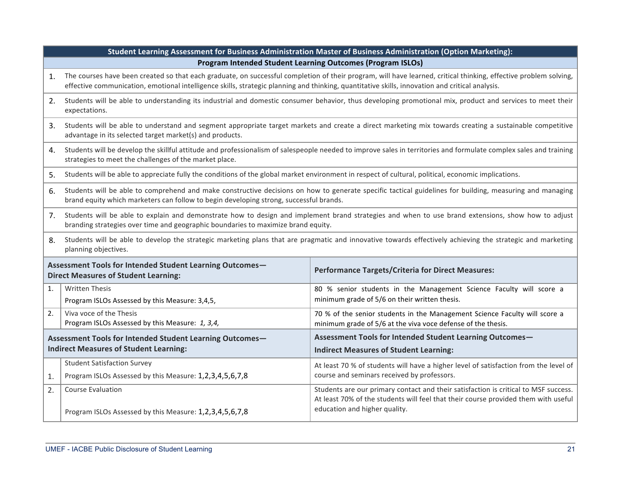|                                                                                                           | Student Learning Assessment for Business Administration Master of Business Administration (Option Marketing):                                                                                                                                                                                                       |                                                                                                                                                                                                            |  |
|-----------------------------------------------------------------------------------------------------------|---------------------------------------------------------------------------------------------------------------------------------------------------------------------------------------------------------------------------------------------------------------------------------------------------------------------|------------------------------------------------------------------------------------------------------------------------------------------------------------------------------------------------------------|--|
|                                                                                                           | <b>Program Intended Student Learning Outcomes (Program ISLOs)</b>                                                                                                                                                                                                                                                   |                                                                                                                                                                                                            |  |
| 1.                                                                                                        | The courses have been created so that each graduate, on successful completion of their program, will have learned, critical thinking, effective problem solving,<br>effective communication, emotional intelligence skills, strategic planning and thinking, quantitative skills, innovation and critical analysis. |                                                                                                                                                                                                            |  |
| 2.                                                                                                        | Students will be able to understanding its industrial and domestic consumer behavior, thus developing promotional mix, product and services to meet their<br>expectations.                                                                                                                                          |                                                                                                                                                                                                            |  |
| 3.                                                                                                        | Students will be able to understand and segment appropriate target markets and create a direct marketing mix towards creating a sustainable competitive<br>advantage in its selected target market(s) and products.                                                                                                 |                                                                                                                                                                                                            |  |
| 4.                                                                                                        | Students will be develop the skillful attitude and professionalism of salespeople needed to improve sales in territories and formulate complex sales and training<br>strategies to meet the challenges of the market place.                                                                                         |                                                                                                                                                                                                            |  |
| 5.                                                                                                        | Students will be able to appreciate fully the conditions of the global market environment in respect of cultural, political, economic implications.                                                                                                                                                                 |                                                                                                                                                                                                            |  |
| 6.                                                                                                        | Students will be able to comprehend and make constructive decisions on how to generate specific tactical guidelines for building, measuring and managing<br>brand equity which marketers can follow to begin developing strong, successful brands.                                                                  |                                                                                                                                                                                                            |  |
| 7.                                                                                                        | Students will be able to explain and demonstrate how to design and implement brand strategies and when to use brand extensions, show how to adjust<br>branding strategies over time and geographic boundaries to maximize brand equity.                                                                             |                                                                                                                                                                                                            |  |
| 8.                                                                                                        | Students will be able to develop the strategic marketing plans that are pragmatic and innovative towards effectively achieving the strategic and marketing<br>planning objectives.                                                                                                                                  |                                                                                                                                                                                                            |  |
|                                                                                                           | Assessment Tools for Intended Student Learning Outcomes-<br><b>Direct Measures of Student Learning:</b>                                                                                                                                                                                                             | <b>Performance Targets/Criteria for Direct Measures:</b>                                                                                                                                                   |  |
| $\mathbf{1}$ .                                                                                            | <b>Written Thesis</b><br>Program ISLOs Assessed by this Measure: 3,4,5,                                                                                                                                                                                                                                             | 80 % senior students in the Management Science Faculty will score a<br>minimum grade of 5/6 on their written thesis.                                                                                       |  |
| 2.                                                                                                        | Viva voce of the Thesis<br>Program ISLOs Assessed by this Measure: 1, 3,4,                                                                                                                                                                                                                                          | 70 % of the senior students in the Management Science Faculty will score a<br>minimum grade of 5/6 at the viva voce defense of the thesis.                                                                 |  |
| Assessment Tools for Intended Student Learning Outcomes-<br><b>Indirect Measures of Student Learning:</b> |                                                                                                                                                                                                                                                                                                                     | Assessment Tools for Intended Student Learning Outcomes-<br><b>Indirect Measures of Student Learning:</b>                                                                                                  |  |
| 1.                                                                                                        | <b>Student Satisfaction Survey</b><br>Program ISLOs Assessed by this Measure: 1,2,3,4,5,6,7,8                                                                                                                                                                                                                       | At least 70 % of students will have a higher level of satisfaction from the level of<br>course and seminars received by professors.                                                                        |  |
| 2.                                                                                                        | <b>Course Evaluation</b><br>Program ISLOs Assessed by this Measure: 1,2,3,4,5,6,7,8                                                                                                                                                                                                                                 | Students are our primary contact and their satisfaction is critical to MSF success.<br>At least 70% of the students will feel that their course provided them with useful<br>education and higher quality. |  |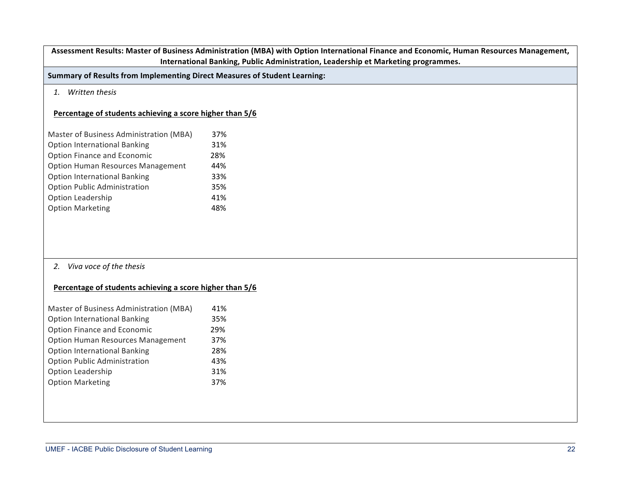Assessment Results: Master of Business Administration (MBA) with Option International Finance and Economic, Human Resources Management, **International Banking, Public Administration, Leadership et Marketing programmes.** 

**Summary of Results from Implementing Direct Measures of Student Learning:** 

### *1. Written thesis*

# **Percentage of students achieving a score higher than 5/6**

| Master of Business Administration (MBA)  | 37% |
|------------------------------------------|-----|
| <b>Option International Banking</b>      | 31% |
| Option Finance and Economic              | 28% |
| <b>Option Human Resources Management</b> | 44% |
| <b>Option International Banking</b>      | 33% |
| <b>Option Public Administration</b>      | 35% |
| Option Leadership                        | 41% |
| <b>Option Marketing</b>                  | 48% |

### 2. *Viva* voce of the thesis

### **Percentage of students achieving a score higher than 5/6**

| 41% |
|-----|
| 35% |
| 29% |
| 37% |
| 28% |
| 43% |
| 31% |
| 37% |
|     |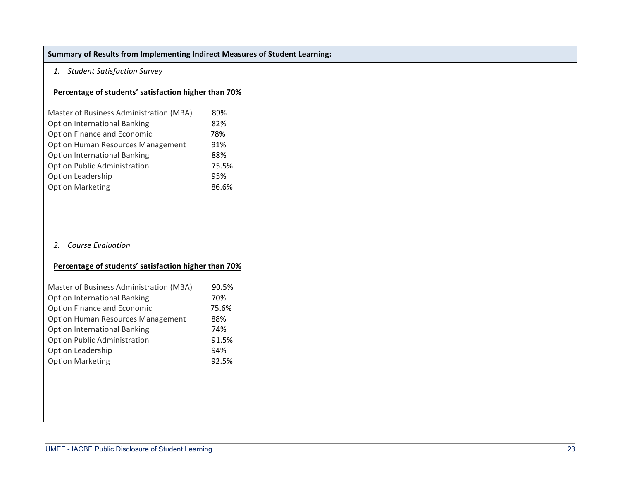# **Summary of Results from Implementing Indirect Measures of Student Learning:**

## *1. Student Satisfaction Survey*

### **Percentage of students' satisfaction higher than 70%**

| Master of Business Administration (MBA)  | 89%   |
|------------------------------------------|-------|
| <b>Option International Banking</b>      | 82%   |
| Option Finance and Economic              | 78%   |
| <b>Option Human Resources Management</b> | 91%   |
| <b>Option International Banking</b>      | 88%   |
| <b>Option Public Administration</b>      | 75.5% |
| Option Leadership                        | 95%   |
| <b>Option Marketing</b>                  | 86.6% |

# 2. **Course Evaluation**

### **Percentage of students' satisfaction higher than 70%**

| Master of Business Administration (MBA)  | 90.5% |
|------------------------------------------|-------|
| <b>Option International Banking</b>      | 70%   |
| Option Finance and Economic              | 75.6% |
| <b>Option Human Resources Management</b> | 88%   |
| <b>Option International Banking</b>      | 74%   |
| <b>Option Public Administration</b>      | 91.5% |
| Option Leadership                        | 94%   |
| <b>Option Marketing</b>                  | 92.5% |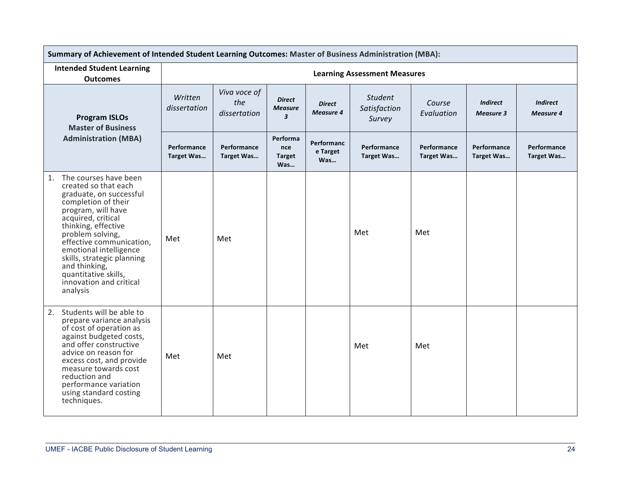| Summary of Achievement of Intended Student Learning Outcomes: Master of Business Administration (MBA):                                                                                                                                                                                                                                                           |                                  |                                     |                                                            |                                   |                                          |                           |                                     |                              |  |
|------------------------------------------------------------------------------------------------------------------------------------------------------------------------------------------------------------------------------------------------------------------------------------------------------------------------------------------------------------------|----------------------------------|-------------------------------------|------------------------------------------------------------|-----------------------------------|------------------------------------------|---------------------------|-------------------------------------|------------------------------|--|
| <b>Intended Student Learning</b><br><b>Outcomes</b>                                                                                                                                                                                                                                                                                                              |                                  |                                     |                                                            |                                   | <b>Learning Assessment Measures</b>      |                           |                                     |                              |  |
| <b>Program ISLOs</b><br><b>Master of Business</b>                                                                                                                                                                                                                                                                                                                | Written<br>dissertation          | Viva voce of<br>the<br>dissertation | <b>Direct</b><br><b>Measure</b><br>$\overline{\mathbf{3}}$ | <b>Direct</b><br><b>Measure 4</b> | <b>Student</b><br>Satisfaction<br>Survey | Course<br>Evaluation      | <b>Indirect</b><br><b>Measure 3</b> | <b>Indirect</b><br>Measure 4 |  |
| <b>Administration (MBA)</b>                                                                                                                                                                                                                                                                                                                                      | Performance<br><b>Target Was</b> | Performance<br>Target Was           | Performa<br>nce<br><b>Target</b><br>Was                    | Performanc<br>e Target<br>Was     | Performance<br><b>Target Was</b>         | Performance<br>Target Was | Performance<br>Target Was           | Performance<br>Target Was    |  |
| The courses have been<br>1.<br>created so that each<br>graduate, on successful<br>completion of their<br>program, will have<br>acquired, critical<br>thinking, effective<br>problem solving,<br>effective communication,<br>emotional intelligence<br>skills, strategic planning<br>and thinking,<br>quantitative skills,<br>innovation and critical<br>analysis | Met                              | Met                                 |                                                            |                                   | Met                                      | Met                       |                                     |                              |  |
| Students will be able to<br>2.<br>prepare variance analysis<br>of cost of operation as<br>against budgeted costs,<br>and offer constructive<br>advice on reason for<br>excess cost, and provide<br>measure towards cost<br>reduction and<br>performance variation<br>using standard costing<br>techniques.                                                       | Met                              | Met                                 |                                                            |                                   | Met                                      | Met                       |                                     |                              |  |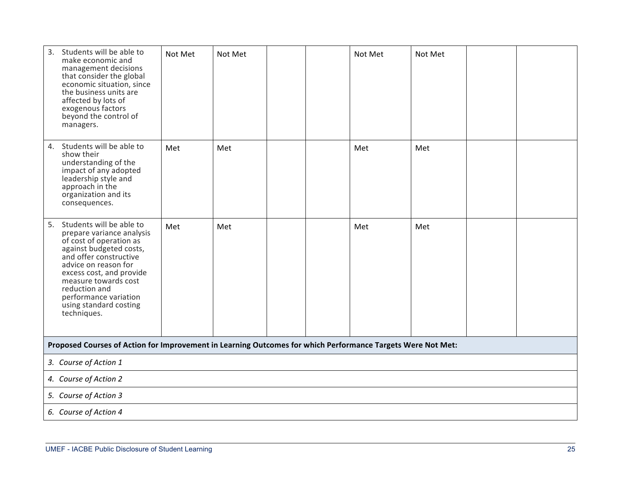| 3.<br>Students will be able to<br>make economic and<br>management decisions<br>that consider the global<br>economic situation, since<br>the business units are<br>affected by lots of<br>exogenous factors<br>beyond the control of<br>managers.                                                        | Not Met | Not Met |  |  | Not Met | Not Met |  |  |  |
|---------------------------------------------------------------------------------------------------------------------------------------------------------------------------------------------------------------------------------------------------------------------------------------------------------|---------|---------|--|--|---------|---------|--|--|--|
| Students will be able to<br>4.<br>show their<br>understanding of the<br>impact of any adopted<br>leadership style and<br>approach in the<br>organization and its<br>consequences.                                                                                                                       | Met     | Met     |  |  | Met     | Met     |  |  |  |
| 5. Students will be able to<br>prepare variance analysis<br>of cost of operation as<br>against budgeted costs,<br>and offer constructive<br>advice on reason for<br>excess cost, and provide<br>measure towards cost<br>reduction and<br>performance variation<br>using standard costing<br>techniques. | Met     | Met     |  |  | Met     | Met     |  |  |  |
| Proposed Courses of Action for Improvement in Learning Outcomes for which Performance Targets Were Not Met:                                                                                                                                                                                             |         |         |  |  |         |         |  |  |  |
| 3. Course of Action 1                                                                                                                                                                                                                                                                                   |         |         |  |  |         |         |  |  |  |
| 4. Course of Action 2                                                                                                                                                                                                                                                                                   |         |         |  |  |         |         |  |  |  |
| 5. Course of Action 3                                                                                                                                                                                                                                                                                   |         |         |  |  |         |         |  |  |  |
| 6. Course of Action 4                                                                                                                                                                                                                                                                                   |         |         |  |  |         |         |  |  |  |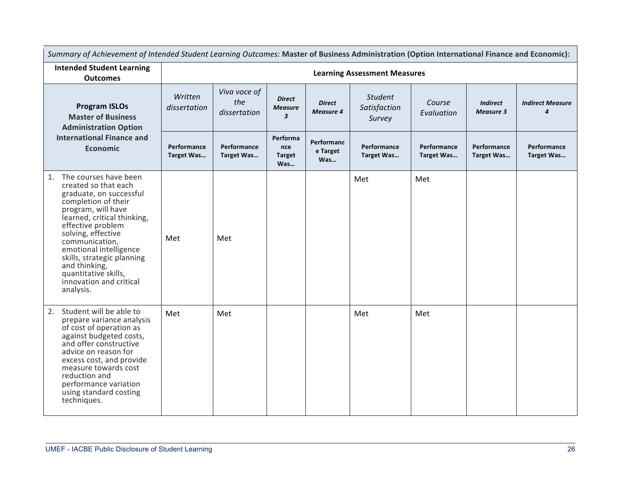| Summary of Achievement of Intended Student Learning Outcomes: Master of Business Administration (Option International Finance and Economic):                                                                                                                                                                                                                     |                                  |                                     |                                                            |                                   |                                          |                           |                                     |                                  |  |  |  |
|------------------------------------------------------------------------------------------------------------------------------------------------------------------------------------------------------------------------------------------------------------------------------------------------------------------------------------------------------------------|----------------------------------|-------------------------------------|------------------------------------------------------------|-----------------------------------|------------------------------------------|---------------------------|-------------------------------------|----------------------------------|--|--|--|
| <b>Intended Student Learning</b><br><b>Outcomes</b>                                                                                                                                                                                                                                                                                                              |                                  | <b>Learning Assessment Measures</b> |                                                            |                                   |                                          |                           |                                     |                                  |  |  |  |
| <b>Program ISLOs</b><br><b>Master of Business</b><br><b>Administration Option</b>                                                                                                                                                                                                                                                                                | Written<br>dissertation          | Viva voce of<br>the<br>dissertation | <b>Direct</b><br><b>Measure</b><br>$\overline{\mathbf{3}}$ | <b>Direct</b><br><b>Measure 4</b> | <b>Student</b><br>Satisfaction<br>Survey | Course<br>Evaluation      | <b>Indirect</b><br><b>Measure 3</b> | <b>Indirect Measure</b><br>4     |  |  |  |
| <b>International Finance and</b><br><b>Economic</b>                                                                                                                                                                                                                                                                                                              | Performance<br><b>Target Was</b> | Performance<br>Target Was           | Performa<br>nce<br><b>Target</b><br>Was                    | Performanc<br>e Target<br>Was     | Performance<br>Target Was                | Performance<br>Target Was | <b>Performance</b><br>Target Was    | <b>Performance</b><br>Target Was |  |  |  |
| The courses have been<br>1.<br>created so that each<br>graduate, on successful<br>completion of their<br>program, will have<br>learned, critical thinking,<br>effective problem<br>solving, effective<br>communication,<br>emotional intelligence<br>skills, strategic planning<br>and thinking,<br>quantitative skills,<br>innovation and critical<br>analysis. | Met                              | Met                                 |                                                            |                                   | Met                                      | Met                       |                                     |                                  |  |  |  |
| Student will be able to<br>2.<br>prepare variance analysis<br>of cost of operation as<br>against budgeted costs,<br>and offer constructive<br>advice on reason for<br>excess cost, and provide<br>measure towards cost<br>reduction and<br>performance variation<br>using standard costing<br>techniques.                                                        | Met                              | Met                                 |                                                            |                                   | Met                                      | Met                       |                                     |                                  |  |  |  |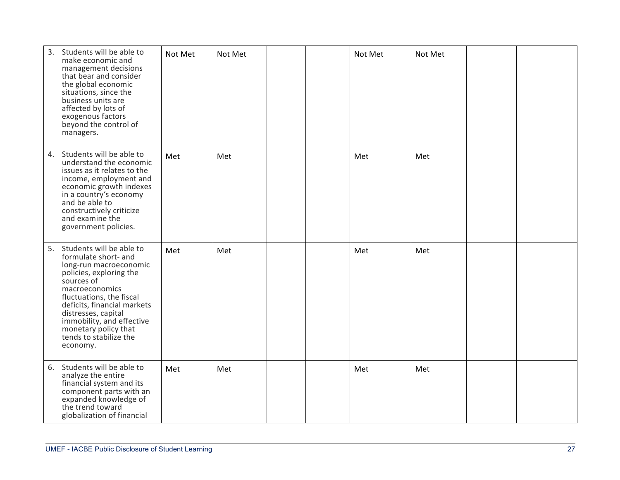| 3.<br>Students will be able to<br>make economic and<br>management decisions<br>that bear and consider<br>the global economic<br>situations, since the<br>business units are<br>affected by lots of<br>exogenous factors<br>beyond the control of<br>managers.                                                            | Not Met | Not Met |  | Not Met | Not Met |  |
|--------------------------------------------------------------------------------------------------------------------------------------------------------------------------------------------------------------------------------------------------------------------------------------------------------------------------|---------|---------|--|---------|---------|--|
| Students will be able to<br>4.<br>understand the economic<br>issues as it relates to the<br>income, employment and<br>economic growth indexes<br>in a country's economy<br>and be able to<br>constructively criticize<br>and examine the<br>government policies.                                                         | Met     | Met     |  | Met     | Met     |  |
| Students will be able to<br>5.<br>formulate short- and<br>long-run macroeconomic<br>policies, exploring the<br>sources of<br>macroeconomics<br>fluctuations, the fiscal<br>deficits, financial markets<br>distresses, capital<br>immobility, and effective<br>monetary policy that<br>tends to stabilize the<br>economy. | Met     | Met     |  | Met     | Met     |  |
| 6. Students will be able to<br>analyze the entire<br>financial system and its<br>component parts with an<br>expanded knowledge of<br>the trend toward<br>globalization of financial                                                                                                                                      | Met     | Met     |  | Met     | Met     |  |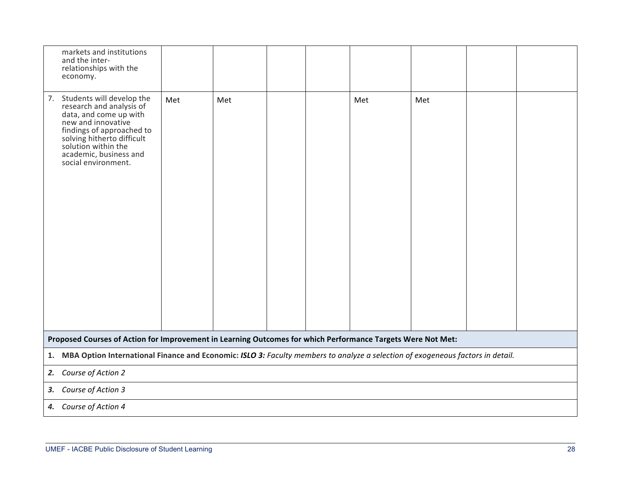| markets and institutions<br>and the inter-<br>relationships with the<br>economy.                                                                                                                                                            |     |     |  |  |     |     |  |  |  |
|---------------------------------------------------------------------------------------------------------------------------------------------------------------------------------------------------------------------------------------------|-----|-----|--|--|-----|-----|--|--|--|
| 7. Students will develop the<br>research and analysis of<br>data, and come up with<br>new and innovative<br>findings of approached to<br>solving hitherto difficult<br>solution within the<br>academic, business and<br>social environment. | Met | Met |  |  | Met | Met |  |  |  |
| Proposed Courses of Action for Improvement in Learning Outcomes for which Performance Targets Were Not Met:                                                                                                                                 |     |     |  |  |     |     |  |  |  |
|                                                                                                                                                                                                                                             |     |     |  |  |     |     |  |  |  |
| 1. MBA Option International Finance and Economic: ISLO 3: Faculty members to analyze a selection of exogeneous factors in detail.<br>2. Course of Action 2                                                                                  |     |     |  |  |     |     |  |  |  |
| Course of Action 3<br>3.                                                                                                                                                                                                                    |     |     |  |  |     |     |  |  |  |
| 4. Course of Action 4                                                                                                                                                                                                                       |     |     |  |  |     |     |  |  |  |
|                                                                                                                                                                                                                                             |     |     |  |  |     |     |  |  |  |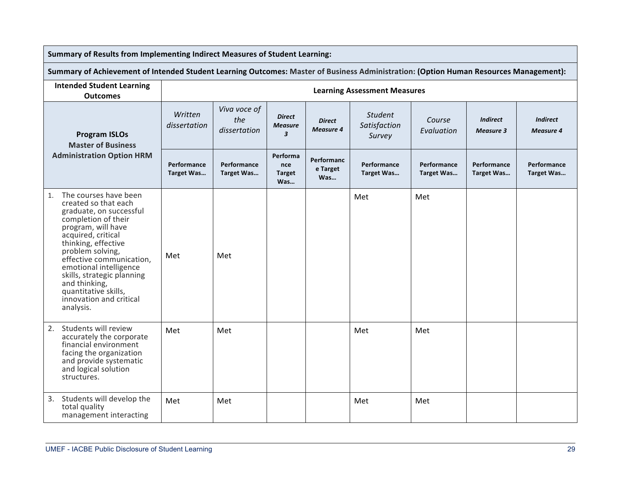| Summary of Results from Implementing Indirect Measures of Student Learning:                                                                                                                                                                                                                                                                                       |                                  |                                     |                                                   |                                   |                                          |                           |                                     |                                     |  |  |
|-------------------------------------------------------------------------------------------------------------------------------------------------------------------------------------------------------------------------------------------------------------------------------------------------------------------------------------------------------------------|----------------------------------|-------------------------------------|---------------------------------------------------|-----------------------------------|------------------------------------------|---------------------------|-------------------------------------|-------------------------------------|--|--|
| Summary of Achievement of Intended Student Learning Outcomes: Master of Business Administration: (Option Human Resources Management):                                                                                                                                                                                                                             |                                  |                                     |                                                   |                                   |                                          |                           |                                     |                                     |  |  |
| <b>Intended Student Learning</b><br><b>Outcomes</b>                                                                                                                                                                                                                                                                                                               |                                  | <b>Learning Assessment Measures</b> |                                                   |                                   |                                          |                           |                                     |                                     |  |  |
| <b>Program ISLOs</b><br><b>Master of Business</b><br><b>Administration Option HRM</b>                                                                                                                                                                                                                                                                             | Written<br>dissertation          | Viva voce of<br>the<br>dissertation | <b>Direct</b><br><b>Measure</b><br>$\overline{3}$ | <b>Direct</b><br><b>Measure 4</b> | <b>Student</b><br>Satisfaction<br>Survey | Course<br>Evaluation      | <b>Indirect</b><br><b>Measure 3</b> | <b>Indirect</b><br><b>Measure 4</b> |  |  |
|                                                                                                                                                                                                                                                                                                                                                                   | Performance<br><b>Target Was</b> | Performance<br>Target Was           | Performa<br>nce<br><b>Target</b><br>Was           | Performanc<br>e Target<br>Was     | Performance<br>Target Was                | Performance<br>Target Was | Performance<br>Target Was           | Performance<br>Target Was           |  |  |
| The courses have been<br>1.<br>created so that each<br>graduate, on successful<br>completion of their<br>program, will have<br>acquired, critical<br>thinking, effective<br>problem solving,<br>effective communication,<br>emotional intelligence<br>skills, strategic planning<br>and thinking,<br>quantitative skills,<br>innovation and critical<br>analysis. | Met                              | Met                                 |                                                   |                                   | Met                                      | Met                       |                                     |                                     |  |  |
| Students will review<br>2.<br>accurately the corporate<br>financial environment<br>facing the organization<br>and provide systematic<br>and logical solution<br>structures.                                                                                                                                                                                       | Met                              | Met                                 |                                                   |                                   | Met                                      | Met                       |                                     |                                     |  |  |
| 3. Students will develop the<br>total quality<br>management interacting                                                                                                                                                                                                                                                                                           | Met                              | Met                                 |                                                   |                                   | Met                                      | Met                       |                                     |                                     |  |  |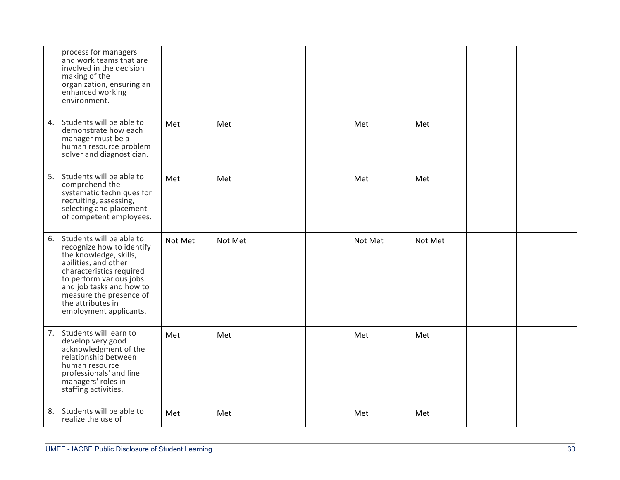|    | process for managers<br>and work teams that are<br>involved in the decision<br>making of the<br>organization, ensuring an<br>enhanced working<br>environment.                                                                                                           |         |         |  |         |         |  |
|----|-------------------------------------------------------------------------------------------------------------------------------------------------------------------------------------------------------------------------------------------------------------------------|---------|---------|--|---------|---------|--|
|    | 4. Students will be able to<br>demonstrate how each<br>manager must be a<br>human resource problem<br>solver and diagnostician.                                                                                                                                         | Met     | Met     |  | Met     | Met     |  |
|    | 5. Students will be able to<br>comprehend the<br>systematic techniques for<br>recruiting, assessing,<br>selecting and placement<br>of competent employees.                                                                                                              | Met     | Met     |  | Met     | Met     |  |
|    | 6. Students will be able to<br>recognize how to identify<br>the knowledge, skills,<br>abilities, and other<br>characteristics required<br>to perform various jobs<br>and job tasks and how to<br>measure the presence of<br>the attributes in<br>employment applicants. | Not Met | Not Met |  | Not Met | Not Met |  |
| 7. | Students will learn to<br>develop very good<br>acknowledgment of the<br>relationship between<br>human resource<br>professionals' and line<br>managers' roles in<br>staffing activities.                                                                                 | Met     | Met     |  | Met     | Met     |  |
| 8. | Students will be able to<br>realize the use of                                                                                                                                                                                                                          | Met     | Met     |  | Met     | Met     |  |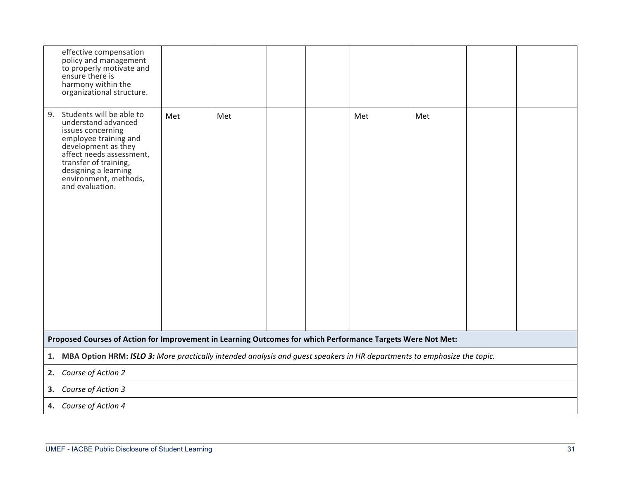| effective compensation<br>policy and management<br>to properly motivate and<br>ensure there is<br>harmony within the<br>organizational structure.                                                                                                   |     |     |  |  |     |     |  |  |  |  |
|-----------------------------------------------------------------------------------------------------------------------------------------------------------------------------------------------------------------------------------------------------|-----|-----|--|--|-----|-----|--|--|--|--|
| Students will be able to<br>9.<br>understand advanced<br>issues concerning<br>employee training and<br>development as they<br>affect needs assessment,<br>transfer of training,<br>designing a learning<br>environment, methods,<br>and evaluation. | Met | Met |  |  | Met | Met |  |  |  |  |
| Proposed Courses of Action for Improvement in Learning Outcomes for which Performance Targets Were Not Met:                                                                                                                                         |     |     |  |  |     |     |  |  |  |  |
| 1. MBA Option HRM: ISLO 3: More practically intended analysis and guest speakers in HR departments to emphasize the topic.                                                                                                                          |     |     |  |  |     |     |  |  |  |  |
| 2. Course of Action 2                                                                                                                                                                                                                               |     |     |  |  |     |     |  |  |  |  |
| 3. Course of Action 3                                                                                                                                                                                                                               |     |     |  |  |     |     |  |  |  |  |
| 4. Course of Action 4                                                                                                                                                                                                                               |     |     |  |  |     |     |  |  |  |  |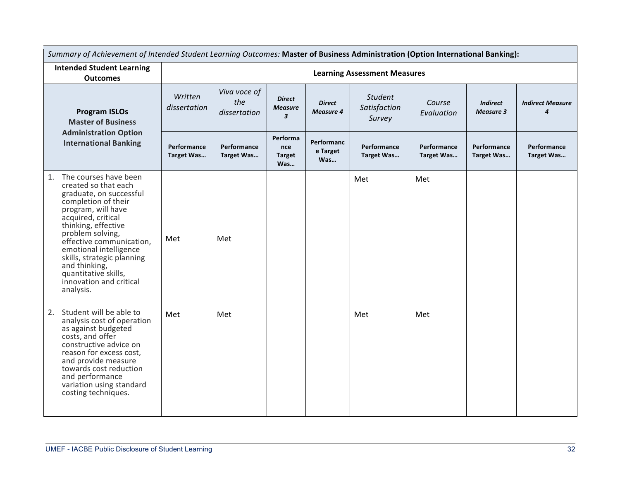| Summary of Achievement of Intended Student Learning Outcomes: Master of Business Administration (Option International Banking):                                                                                                                                                                                                                                   |                           |                                     |                                                            |                                   |                                          |                           |                                     |                              |  |  |  |
|-------------------------------------------------------------------------------------------------------------------------------------------------------------------------------------------------------------------------------------------------------------------------------------------------------------------------------------------------------------------|---------------------------|-------------------------------------|------------------------------------------------------------|-----------------------------------|------------------------------------------|---------------------------|-------------------------------------|------------------------------|--|--|--|
| <b>Intended Student Learning</b><br><b>Outcomes</b>                                                                                                                                                                                                                                                                                                               |                           | <b>Learning Assessment Measures</b> |                                                            |                                   |                                          |                           |                                     |                              |  |  |  |
| <b>Program ISLOs</b><br><b>Master of Business</b><br><b>Administration Option</b>                                                                                                                                                                                                                                                                                 | Written<br>dissertation   | Viva voce of<br>the<br>dissertation | <b>Direct</b><br><b>Measure</b><br>$\overline{\mathbf{3}}$ | <b>Direct</b><br><b>Measure 4</b> | <b>Student</b><br>Satisfaction<br>Survey | Course<br>Evaluation      | <b>Indirect</b><br><b>Measure 3</b> | <b>Indirect Measure</b><br>4 |  |  |  |
| <b>International Banking</b>                                                                                                                                                                                                                                                                                                                                      | Performance<br>Target Was | Performance<br>Target Was           | Performa<br>nce<br><b>Target</b><br>Was                    | Performanc<br>e Target<br>Was     | Performance<br>Target Was                | Performance<br>Target Was | Performance<br>Target Was           | Performance<br>Target Was    |  |  |  |
| The courses have been<br>1.<br>created so that each<br>graduate, on successful<br>completion of their<br>program, will have<br>acquired, critical<br>thinking, effective<br>problem solving,<br>effective communication,<br>emotional intelligence<br>skills, strategic planning<br>and thinking,<br>quantitative skills,<br>innovation and critical<br>analysis. | Met                       | Met                                 |                                                            |                                   | Met                                      | Met                       |                                     |                              |  |  |  |
| Student will be able to<br>2.<br>analysis cost of operation<br>as against budgeted<br>costs, and offer<br>constructive advice on<br>reason for excess cost,<br>and provide measure<br>towards cost reduction<br>and performance<br>variation using standard<br>costing techniques.                                                                                | Met                       | Met                                 |                                                            |                                   | Met                                      | Met                       |                                     |                              |  |  |  |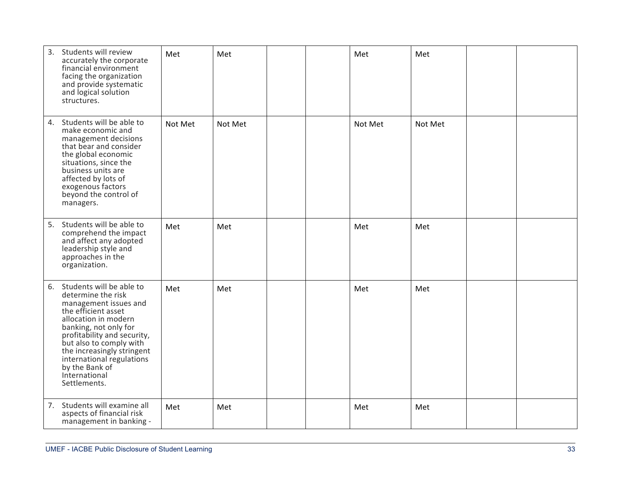| 3. | Students will review<br>accurately the corporate<br>financial environment<br>facing the organization<br>and provide systematic<br>and logical solution<br>structures.                                                                                                                                                      | Met     | Met     |  | Met     | Met     |  |
|----|----------------------------------------------------------------------------------------------------------------------------------------------------------------------------------------------------------------------------------------------------------------------------------------------------------------------------|---------|---------|--|---------|---------|--|
| 4. | Students will be able to<br>make economic and<br>management decisions<br>that bear and consider<br>the global economic<br>situations, since the<br>business units are<br>affected by lots of<br>exogenous factors<br>beyond the control of<br>managers.                                                                    | Not Met | Not Met |  | Not Met | Not Met |  |
| 5. | Students will be able to<br>comprehend the impact<br>and affect any adopted<br>leadership style and<br>approaches in the<br>organization.                                                                                                                                                                                  | Met     | Met     |  | Met     | Met     |  |
|    | 6. Students will be able to<br>determine the risk<br>management issues and<br>the efficient asset<br>allocation in modern<br>banking, not only for<br>profitability and security,<br>but also to comply with<br>the increasingly stringent<br>international regulations<br>by the Bank of<br>International<br>Settlements. | Met     | Met     |  | Met     | Met     |  |
| 7. | Students will examine all<br>aspects of financial risk<br>management in banking -                                                                                                                                                                                                                                          | Met     | Met     |  | Met     | Met     |  |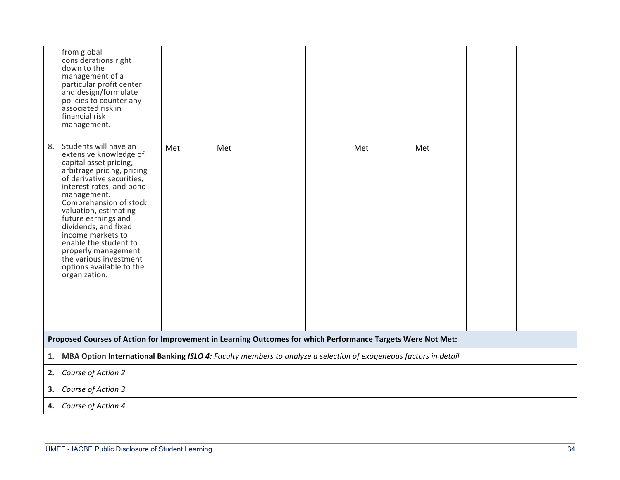| from global<br>considerations right<br>down to the<br>management of a<br>particular profit center<br>and design/formulate<br>policies to counter any<br>associated risk in<br>financial risk<br>management.                                                                                                                                                                                                                         |                                                                                                             |     |  |  |     |     |  |  |  |  |  |
|-------------------------------------------------------------------------------------------------------------------------------------------------------------------------------------------------------------------------------------------------------------------------------------------------------------------------------------------------------------------------------------------------------------------------------------|-------------------------------------------------------------------------------------------------------------|-----|--|--|-----|-----|--|--|--|--|--|
| Students will have an<br>8.<br>extensive knowledge of<br>capital asset pricing,<br>arbitrage pricing, pricing<br>of derivative securities,<br>interest rates, and bond<br>management.<br>Comprehension of stock<br>valuation, estimating<br>future earnings and<br>dividends, and fixed<br>income markets to<br>enable the student to<br>properly management<br>the various investment<br>options available to the<br>organization. | Met                                                                                                         | Met |  |  | Met | Met |  |  |  |  |  |
|                                                                                                                                                                                                                                                                                                                                                                                                                                     | Proposed Courses of Action for Improvement in Learning Outcomes for which Performance Targets Were Not Met: |     |  |  |     |     |  |  |  |  |  |
| MBA Option International Banking ISLO 4: Faculty members to analyze a selection of exogeneous factors in detail.<br>1.                                                                                                                                                                                                                                                                                                              |                                                                                                             |     |  |  |     |     |  |  |  |  |  |
| Course of Action 2<br>2.                                                                                                                                                                                                                                                                                                                                                                                                            |                                                                                                             |     |  |  |     |     |  |  |  |  |  |
| Course of Action 3<br>3.                                                                                                                                                                                                                                                                                                                                                                                                            |                                                                                                             |     |  |  |     |     |  |  |  |  |  |
| 4. Course of Action 4                                                                                                                                                                                                                                                                                                                                                                                                               |                                                                                                             |     |  |  |     |     |  |  |  |  |  |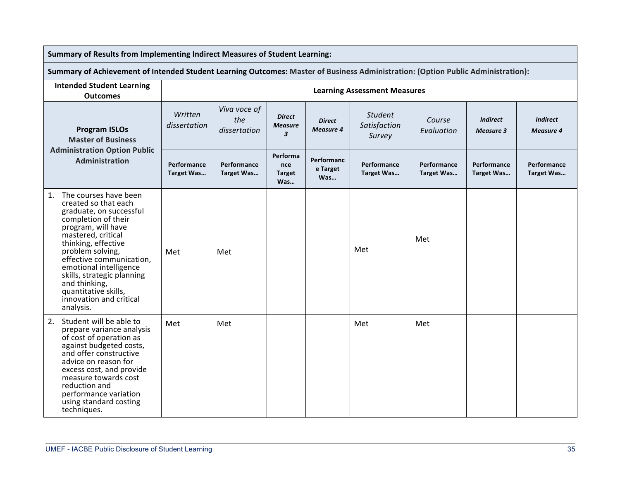| Summary of Results from Implementing Indirect Measures of Student Learning:                                                                                                                                                                                                                                                                                       |                                  |                                     |                                                            |                                   |                                          |                                  |                                     |                                     |  |  |
|-------------------------------------------------------------------------------------------------------------------------------------------------------------------------------------------------------------------------------------------------------------------------------------------------------------------------------------------------------------------|----------------------------------|-------------------------------------|------------------------------------------------------------|-----------------------------------|------------------------------------------|----------------------------------|-------------------------------------|-------------------------------------|--|--|
| Summary of Achievement of Intended Student Learning Outcomes: Master of Business Administration: (Option Public Administration):                                                                                                                                                                                                                                  |                                  |                                     |                                                            |                                   |                                          |                                  |                                     |                                     |  |  |
| <b>Intended Student Learning</b><br><b>Outcomes</b>                                                                                                                                                                                                                                                                                                               |                                  | <b>Learning Assessment Measures</b> |                                                            |                                   |                                          |                                  |                                     |                                     |  |  |
| <b>Program ISLOs</b><br><b>Master of Business</b>                                                                                                                                                                                                                                                                                                                 | Written<br>dissertation          | Viva voce of<br>the<br>dissertation | <b>Direct</b><br><b>Measure</b><br>$\overline{\mathbf{3}}$ | <b>Direct</b><br><b>Measure 4</b> | <b>Student</b><br>Satisfaction<br>Survey | Course<br>Evaluation             | <b>Indirect</b><br><b>Measure 3</b> | <b>Indirect</b><br><b>Measure 4</b> |  |  |
| <b>Administration Option Public</b><br><b>Administration</b>                                                                                                                                                                                                                                                                                                      | Performance<br><b>Target Was</b> | Performance<br><b>Target Was</b>    | Performa<br>nce<br><b>Target</b><br>Was                    | Performanc<br>e Target<br>Was     | Performance<br>Target Was                | Performance<br><b>Target Was</b> | Performance<br><b>Target Was</b>    | Performance<br>Target Was           |  |  |
| The courses have been<br>1.<br>created so that each<br>graduate, on successful<br>completion of their<br>program, will have<br>mastered, critical<br>thinking, effective<br>problem solving,<br>effective communication,<br>emotional intelligence<br>skills, strategic planning<br>and thinking,<br>quantitative skills,<br>innovation and critical<br>analysis. | Met                              | Met                                 |                                                            |                                   | Met                                      | Met                              |                                     |                                     |  |  |
| 2. Student will be able to<br>prepare variance analysis<br>of cost of operation as<br>against budgeted costs,<br>and offer constructive<br>advice on reason for<br>excess cost, and provide<br>measure towards cost<br>reduction and<br>performance variation<br>using standard costing<br>techniques.                                                            | Met                              | Met                                 |                                                            |                                   | Met                                      | Met                              |                                     |                                     |  |  |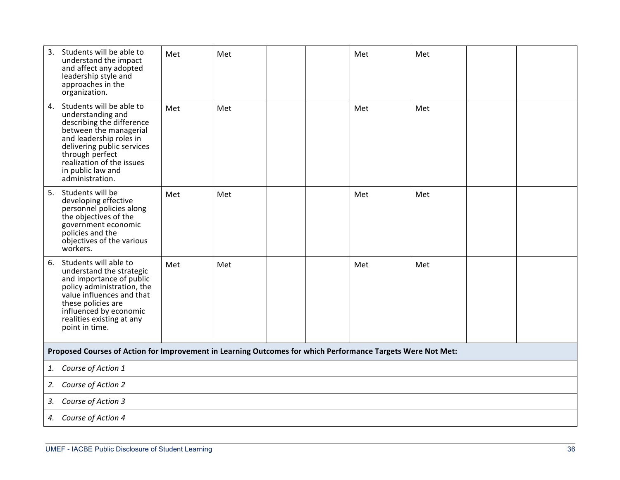| 3. | Students will be able to<br>understand the impact<br>and affect any adopted<br>leadership style and<br>approaches in the<br>organization.                                                                                                                | Met | Met |  | Met | Met |  |
|----|----------------------------------------------------------------------------------------------------------------------------------------------------------------------------------------------------------------------------------------------------------|-----|-----|--|-----|-----|--|
|    | 4. Students will be able to<br>understanding and<br>describing the difference<br>between the managerial<br>and leadership roles in<br>delivering public services<br>through perfect<br>realization of the issues<br>in public law and<br>administration. | Met | Met |  | Met | Met |  |
| 5. | Students will be<br>developing effective<br>personnel policies along<br>the objectives of the<br>government economic<br>policies and the<br>objectives of the various<br>workers.                                                                        | Met | Met |  | Met | Met |  |
| 6. | Students will able to<br>understand the strategic<br>and importance of public<br>policy administration, the<br>value influences and that<br>these policies are<br>influenced by economic<br>realities existing at any<br>point in time.                  | Met | Met |  | Met | Met |  |
|    | Proposed Courses of Action for Improvement in Learning Outcomes for which Performance Targets Were Not Met:                                                                                                                                              |     |     |  |     |     |  |
| 1. | Course of Action 1                                                                                                                                                                                                                                       |     |     |  |     |     |  |
| 2. | Course of Action 2                                                                                                                                                                                                                                       |     |     |  |     |     |  |
| 3. | Course of Action 3                                                                                                                                                                                                                                       |     |     |  |     |     |  |
| 4. | Course of Action 4                                                                                                                                                                                                                                       |     |     |  |     |     |  |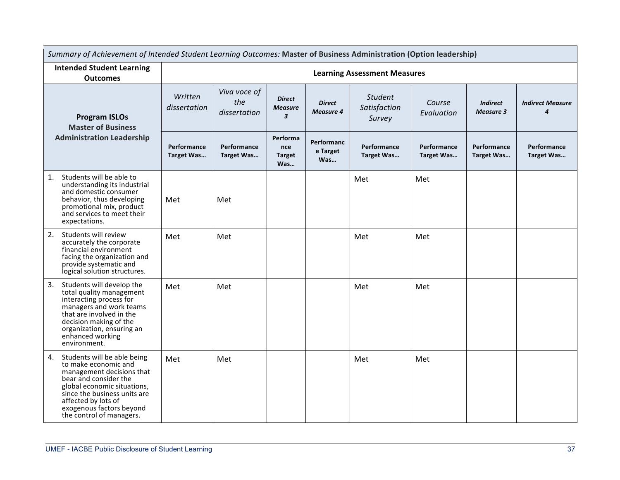| Summary of Achievement of Intended Student Learning Outcomes: Master of Business Administration (Option leadership)                                                                                                                                           |                                  |                                     |                                                   |                                   |                                          |                           |                                     |                                             |  |  |
|---------------------------------------------------------------------------------------------------------------------------------------------------------------------------------------------------------------------------------------------------------------|----------------------------------|-------------------------------------|---------------------------------------------------|-----------------------------------|------------------------------------------|---------------------------|-------------------------------------|---------------------------------------------|--|--|
| <b>Intended Student Learning</b><br><b>Outcomes</b>                                                                                                                                                                                                           |                                  | <b>Learning Assessment Measures</b> |                                                   |                                   |                                          |                           |                                     |                                             |  |  |
| <b>Program ISLOs</b><br><b>Master of Business</b>                                                                                                                                                                                                             | Written<br>dissertation          | Viva voce of<br>the<br>dissertation | <b>Direct</b><br><b>Measure</b><br>$\overline{3}$ | <b>Direct</b><br><b>Measure 4</b> | <b>Student</b><br>Satisfaction<br>Survey | Course<br>Evaluation      | <b>Indirect</b><br><b>Measure 3</b> | <b>Indirect Measure</b><br>$\boldsymbol{4}$ |  |  |
| <b>Administration Leadership</b>                                                                                                                                                                                                                              | Performance<br><b>Target Was</b> | Performance<br>Target Was           | Performa<br>nce<br><b>Target</b><br>Was           | Performanc<br>e Target<br>Was     | Performance<br>Target Was                | Performance<br>Target Was | Performance<br>Target Was           | Performance<br>Target Was                   |  |  |
| Students will be able to<br>1.<br>understanding its industrial<br>and domestic consumer<br>behavior, thus developing<br>promotional mix, product<br>and services to meet their<br>expectations.                                                               | Met                              | Met                                 |                                                   |                                   | Met                                      | Met                       |                                     |                                             |  |  |
| Students will review<br>2.<br>accurately the corporate<br>financial environment<br>facing the organization and<br>provide systematic and<br>logical solution structures.                                                                                      | Met                              | Met                                 |                                                   |                                   | Met                                      | Met                       |                                     |                                             |  |  |
| 3.<br>Students will develop the<br>total quality management<br>interacting process for<br>managers and work teams<br>that are involved in the<br>decision making of the<br>organization, ensuring an<br>enhanced working<br>environment.                      | Met                              | Met                                 |                                                   |                                   | Met                                      | Met                       |                                     |                                             |  |  |
| Students will be able being<br>4.<br>to make economic and<br>management decisions that<br>bear and consider the<br>global economic situations,<br>since the business units are<br>affected by lots of<br>exogenous factors beyond<br>the control of managers. | Met                              | Met                                 |                                                   |                                   | Met                                      | Met                       |                                     |                                             |  |  |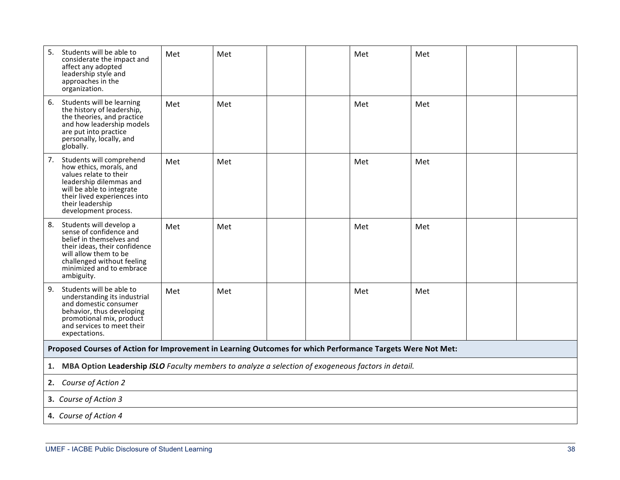| 5.<br>Students will be able to<br>considerate the impact and<br>affect any adopted<br>leadership style and<br>approaches in the<br>organization.                                                                        | Met | Met |  | Met | Met |  |
|-------------------------------------------------------------------------------------------------------------------------------------------------------------------------------------------------------------------------|-----|-----|--|-----|-----|--|
| Students will be learning<br>6.<br>the history of leadership,<br>the theories, and practice<br>and how leadership models<br>are put into practice<br>personally, locally, and<br>globally.                              | Met | Met |  | Met | Met |  |
| Students will comprehend<br>7.<br>how ethics, morals, and<br>values relate to their<br>leadership dilemmas and<br>will be able to integrate<br>their lived experiences into<br>their leadership<br>development process. | Met | Met |  | Met | Met |  |
| 8.<br>Students will develop a<br>sense of confidence and<br>belief in themselves and<br>their ideas, their confidence<br>will allow them to be<br>challenged without feeling<br>minimized and to embrace<br>ambiguity.  | Met | Met |  | Met | Met |  |
| 9.<br>Students will be able to<br>understanding its industrial<br>and domestic consumer<br>behavior, thus developing<br>promotional mix, product<br>and services to meet their<br>expectations.                         | Met | Met |  | Met | Met |  |
| Proposed Courses of Action for Improvement in Learning Outcomes for which Performance Targets Were Not Met:                                                                                                             |     |     |  |     |     |  |
| MBA Option Leadership ISLO Faculty members to analyze a selection of exogeneous factors in detail.<br>1.                                                                                                                |     |     |  |     |     |  |
| 2. Course of Action 2                                                                                                                                                                                                   |     |     |  |     |     |  |
| 3. Course of Action 3                                                                                                                                                                                                   |     |     |  |     |     |  |
| 4. Course of Action 4                                                                                                                                                                                                   |     |     |  |     |     |  |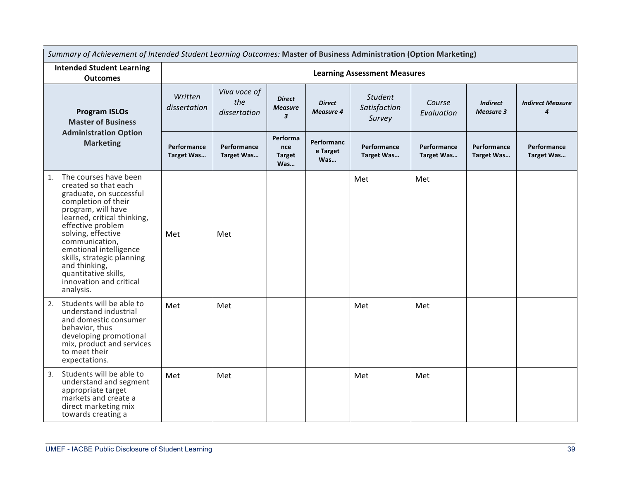| Summary of Achievement of Intended Student Learning Outcomes: Master of Business Administration (Option Marketing)                                                                                                                                                                                                                                               |                           |                                     |                                                            |                                   |                                          |                           |                                     |                                             |
|------------------------------------------------------------------------------------------------------------------------------------------------------------------------------------------------------------------------------------------------------------------------------------------------------------------------------------------------------------------|---------------------------|-------------------------------------|------------------------------------------------------------|-----------------------------------|------------------------------------------|---------------------------|-------------------------------------|---------------------------------------------|
| <b>Intended Student Learning</b><br><b>Outcomes</b>                                                                                                                                                                                                                                                                                                              |                           |                                     |                                                            |                                   | <b>Learning Assessment Measures</b>      |                           |                                     |                                             |
| <b>Program ISLOs</b><br><b>Master of Business</b>                                                                                                                                                                                                                                                                                                                | Written<br>dissertation   | Viva voce of<br>the<br>dissertation | <b>Direct</b><br><b>Measure</b><br>$\overline{\mathbf{3}}$ | <b>Direct</b><br><b>Measure 4</b> | <b>Student</b><br>Satisfaction<br>Survey | Course<br>Evaluation      | <b>Indirect</b><br><b>Measure 3</b> | <b>Indirect Measure</b><br>$\boldsymbol{4}$ |
| <b>Administration Option</b><br><b>Marketing</b>                                                                                                                                                                                                                                                                                                                 | Performance<br>Target Was | Performance<br>Target Was           | Performa<br>nce<br><b>Target</b><br>Was                    | Performanc<br>e Target<br>Was     | Performance<br>Target Was                | Performance<br>Target Was | Performance<br>Target Was           | Performance<br>Target Was                   |
| The courses have been<br>1.<br>created so that each<br>graduate, on successful<br>completion of their<br>program, will have<br>learned, critical thinking,<br>effective problem<br>solving, effective<br>communication,<br>emotional intelligence<br>skills, strategic planning<br>and thinking,<br>quantitative skills,<br>innovation and critical<br>analysis. | Met                       | Met                                 |                                                            |                                   | Met                                      | Met                       |                                     |                                             |
| Students will be able to<br>2.<br>understand industrial<br>and domestic consumer<br>behavior, thus<br>developing promotional<br>mix, product and services<br>to meet their<br>expectations.                                                                                                                                                                      | Met                       | Met                                 |                                                            |                                   | Met                                      | Met                       |                                     |                                             |
| Students will be able to<br>3.<br>understand and segment<br>appropriate target<br>markets and create a<br>direct marketing mix<br>towards creating a                                                                                                                                                                                                             | Met                       | Met                                 |                                                            |                                   | Met                                      | Met                       |                                     |                                             |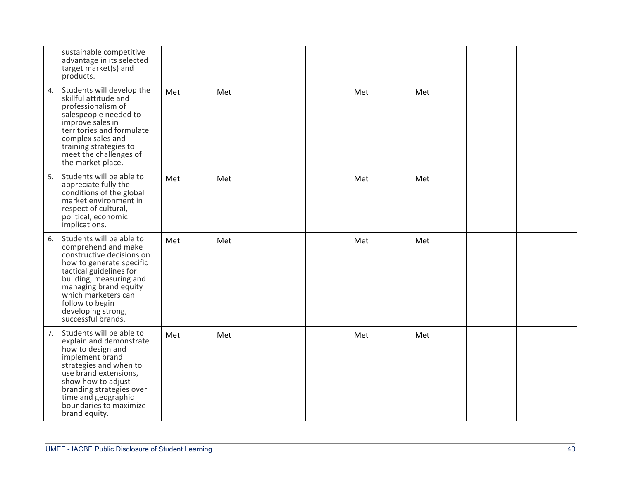| sustainable competitive<br>advantage in its selected<br>target market(s) and<br>products.                                                                                                                                                                                           |     |     |  |     |     |  |
|-------------------------------------------------------------------------------------------------------------------------------------------------------------------------------------------------------------------------------------------------------------------------------------|-----|-----|--|-----|-----|--|
| Students will develop the<br>4.<br>skillful attitude and<br>professionalism of<br>salespeople needed to<br>improve sales in<br>territories and formulate<br>complex sales and<br>training strategies to<br>meet the challenges of<br>the market place.                              | Met | Met |  | Met | Met |  |
| Students will be able to<br>5.<br>appreciate fully the<br>conditions of the global<br>market environment in<br>respect of cultural,<br>political, economic<br>implications.                                                                                                         | Met | Met |  | Met | Met |  |
| Students will be able to<br>6.<br>comprehend and make<br>constructive decisions on<br>how to generate specific<br>tactical guidelines for<br>building, measuring and<br>managing brand equity<br>which marketers can<br>follow to begin<br>developing strong,<br>successful brands. | Met | Met |  | Met | Met |  |
| Students will be able to<br>7.<br>explain and demonstrate<br>how to design and<br>implement brand<br>strategies and when to<br>use brand extensions,<br>show how to adjust<br>branding strategies over<br>time and geographic<br>boundaries to maximize<br>brand equity.            | Met | Met |  | Met | Met |  |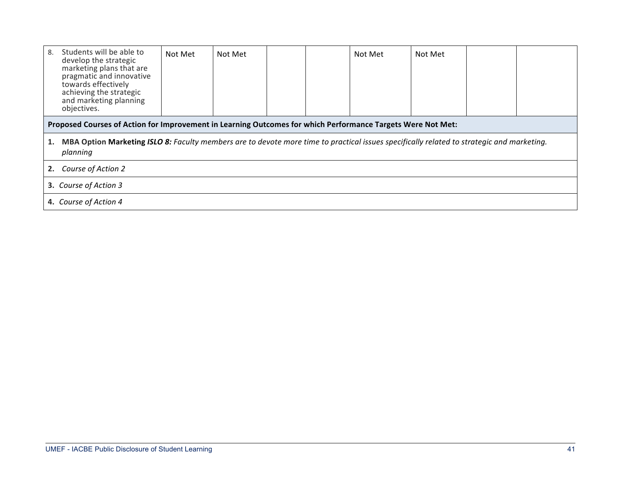| Students will be able to<br>8.<br>develop the strategic<br>marketing plans that are<br>pragmatic and innovative<br>towards effectively<br>achieving the strategic<br>and marketing planning<br>objectives. | Not Met | Not Met |  |  | Not Met | Not Met |  |  |  |
|------------------------------------------------------------------------------------------------------------------------------------------------------------------------------------------------------------|---------|---------|--|--|---------|---------|--|--|--|
| Proposed Courses of Action for Improvement in Learning Outcomes for which Performance Targets Were Not Met:                                                                                                |         |         |  |  |         |         |  |  |  |
| MBA Option Marketing ISLO 8: Faculty members are to devote more time to practical issues specifically related to strategic and marketing.<br>1.<br>planning                                                |         |         |  |  |         |         |  |  |  |
| Course of Action 2<br>2.                                                                                                                                                                                   |         |         |  |  |         |         |  |  |  |
| 3. Course of Action 3                                                                                                                                                                                      |         |         |  |  |         |         |  |  |  |
| 4. Course of Action 4                                                                                                                                                                                      |         |         |  |  |         |         |  |  |  |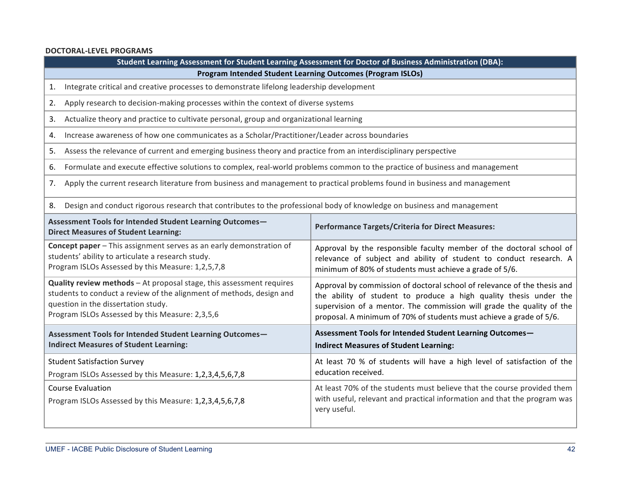### **DOCTORAL-LEVEL PROGRAMS**

|                                                                                                                                                                                                                                        | Student Learning Assessment for Student Learning Assessment for Doctor of Business Administration (DBA):                                                                                                                                                                                      |  |  |  |
|----------------------------------------------------------------------------------------------------------------------------------------------------------------------------------------------------------------------------------------|-----------------------------------------------------------------------------------------------------------------------------------------------------------------------------------------------------------------------------------------------------------------------------------------------|--|--|--|
|                                                                                                                                                                                                                                        | <b>Program Intended Student Learning Outcomes (Program ISLOs)</b>                                                                                                                                                                                                                             |  |  |  |
| Integrate critical and creative processes to demonstrate lifelong leadership development<br>1.                                                                                                                                         |                                                                                                                                                                                                                                                                                               |  |  |  |
| Apply research to decision-making processes within the context of diverse systems<br>2.                                                                                                                                                |                                                                                                                                                                                                                                                                                               |  |  |  |
| Actualize theory and practice to cultivate personal, group and organizational learning<br>3.                                                                                                                                           |                                                                                                                                                                                                                                                                                               |  |  |  |
| Increase awareness of how one communicates as a Scholar/Practitioner/Leader across boundaries<br>4.                                                                                                                                    |                                                                                                                                                                                                                                                                                               |  |  |  |
| Assess the relevance of current and emerging business theory and practice from an interdisciplinary perspective<br>5.                                                                                                                  |                                                                                                                                                                                                                                                                                               |  |  |  |
| Formulate and execute effective solutions to complex, real-world problems common to the practice of business and management<br>6.                                                                                                      |                                                                                                                                                                                                                                                                                               |  |  |  |
| Apply the current research literature from business and management to practical problems found in business and management<br>7.                                                                                                        |                                                                                                                                                                                                                                                                                               |  |  |  |
| Design and conduct rigorous research that contributes to the professional body of knowledge on business and management<br>8.                                                                                                           |                                                                                                                                                                                                                                                                                               |  |  |  |
| Assessment Tools for Intended Student Learning Outcomes-<br><b>Direct Measures of Student Learning:</b>                                                                                                                                | <b>Performance Targets/Criteria for Direct Measures:</b>                                                                                                                                                                                                                                      |  |  |  |
| Concept paper - This assignment serves as an early demonstration of<br>students' ability to articulate a research study.<br>Program ISLOs Assessed by this Measure: 1,2,5,7,8                                                          | Approval by the responsible faculty member of the doctoral school of<br>relevance of subject and ability of student to conduct research. A<br>minimum of 80% of students must achieve a grade of 5/6.                                                                                         |  |  |  |
| Quality review methods - At proposal stage, this assessment requires<br>students to conduct a review of the alignment of methods, design and<br>question in the dissertation study.<br>Program ISLOs Assessed by this Measure: 2,3,5,6 | Approval by commission of doctoral school of relevance of the thesis and<br>the ability of student to produce a high quality thesis under the<br>supervision of a mentor. The commission will grade the quality of the<br>proposal. A minimum of 70% of students must achieve a grade of 5/6. |  |  |  |
| Assessment Tools for Intended Student Learning Outcomes-<br><b>Indirect Measures of Student Learning:</b>                                                                                                                              | Assessment Tools for Intended Student Learning Outcomes-<br><b>Indirect Measures of Student Learning:</b>                                                                                                                                                                                     |  |  |  |
| <b>Student Satisfaction Survey</b><br>Program ISLOs Assessed by this Measure: 1,2,3,4,5,6,7,8                                                                                                                                          | At least 70 % of students will have a high level of satisfaction of the<br>education received.                                                                                                                                                                                                |  |  |  |
| <b>Course Evaluation</b><br>Program ISLOs Assessed by this Measure: 1,2,3,4,5,6,7,8                                                                                                                                                    | At least 70% of the students must believe that the course provided them<br>with useful, relevant and practical information and that the program was<br>very useful.                                                                                                                           |  |  |  |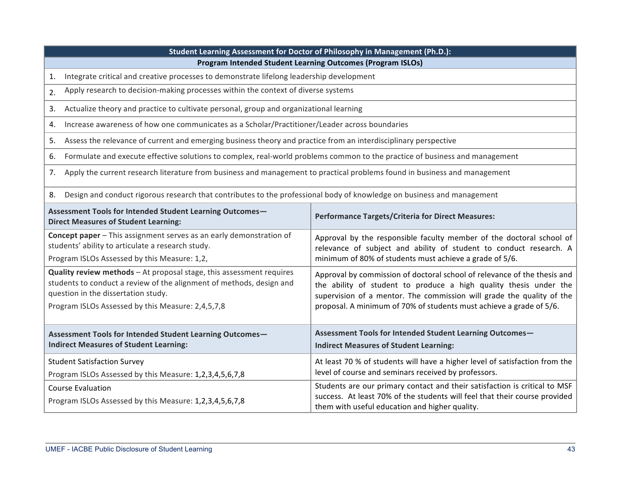| students to conduct a review of the alignment of methods, design and         | the ability of student to produce a high quality thesis under the                                                                                                                                          |  |  |  |  |
|------------------------------------------------------------------------------|------------------------------------------------------------------------------------------------------------------------------------------------------------------------------------------------------------|--|--|--|--|
| question in the dissertation study.                                          | supervision of a mentor. The commission will grade the quality of the                                                                                                                                      |  |  |  |  |
| Program ISLOs Assessed by this Measure: 2,4,5,7,8                            | proposal. A minimum of 70% of students must achieve a grade of 5/6.                                                                                                                                        |  |  |  |  |
| Assessment Tools for Intended Student Learning Outcomes-                     | Assessment Tools for Intended Student Learning Outcomes-                                                                                                                                                   |  |  |  |  |
| <b>Indirect Measures of Student Learning:</b>                                | <b>Indirect Measures of Student Learning:</b>                                                                                                                                                              |  |  |  |  |
| <b>Student Satisfaction Survey</b>                                           | At least 70 % of students will have a higher level of satisfaction from the                                                                                                                                |  |  |  |  |
| Program ISLOs Assessed by this Measure: 1,2,3,4,5,6,7,8                      | level of course and seminars received by professors.                                                                                                                                                       |  |  |  |  |
| Course Evaluation<br>Program ISLOs Assessed by this Measure: 1,2,3,4,5,6,7,8 | Students are our primary contact and their satisfaction is critical to MSF<br>success. At least 70% of the students will feel that their course provided<br>them with useful education and higher quality. |  |  |  |  |

8. Design and conduct rigorous research that contributes to the professional body of knowledge on business and management

| 4. Increase awareness of how one communicates as a Scholar/Practitioner/Leader across boundaries                               |
|--------------------------------------------------------------------------------------------------------------------------------|
| 5. Assess the relevance of current and emerging business theory and practice from an interdisciplinary perspective             |
| 6. Formulate and execute effective solutions to complex, real-world problems common to the practice of business and management |
| 7. Apply the current research literature from business and management to practical problems found in business and management   |
|                                                                                                                                |

Approval by the responsible faculty member of the doctoral school of relevance of subject and ability of student to conduct research. A

Approval by commission of doctoral school of relevance of the thesis and

minimum of 80% of students must achieve a grade of 5/6.

**Student Learning Assessment for Doctor of Philosophy in Management (Ph.D.): Program Intended Student Learning Outcomes (Program ISLOs)** 

3. Actualize theory and practice to cultivate personal, group and organizational learning

1. Integrate critical and creative processes to demonstrate lifelong leadership development

2. Apply research to decision-making processes within the context of diverse systems

**Concept paper** – This assignment serves as an early demonstration of

**Quality review methods** – At proposal stage, this assessment requires

students' ability to articulate a research study. Program ISLOs Assessed by this Measure: 1,2,

#### Assessment Tools for Intended Student Learning Outcomes-**Direct Measures of Student Learning: Performance Targets/Criteria for Direct Measures:**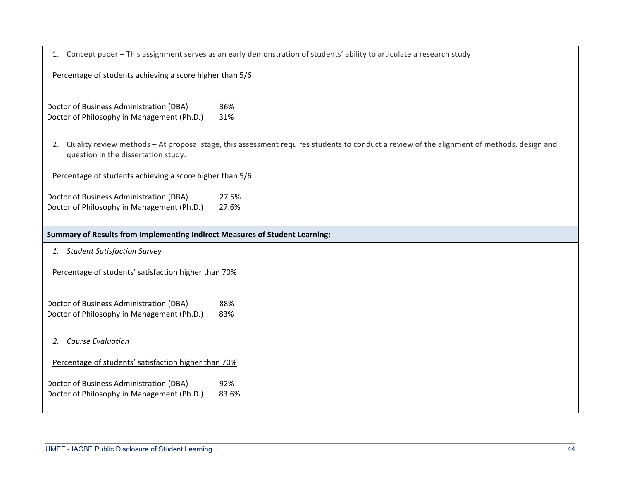| 1. Concept paper - This assignment serves as an early demonstration of students' ability to articulate a research study |                                                                                                                                           |  |  |  |  |  |
|-------------------------------------------------------------------------------------------------------------------------|-------------------------------------------------------------------------------------------------------------------------------------------|--|--|--|--|--|
| Percentage of students achieving a score higher than 5/6                                                                |                                                                                                                                           |  |  |  |  |  |
| Doctor of Business Administration (DBA)<br>Doctor of Philosophy in Management (Ph.D.)                                   | 36%<br>31%                                                                                                                                |  |  |  |  |  |
| 2.<br>question in the dissertation study.                                                                               | Quality review methods – At proposal stage, this assessment requires students to conduct a review of the alignment of methods, design and |  |  |  |  |  |
| Percentage of students achieving a score higher than 5/6                                                                |                                                                                                                                           |  |  |  |  |  |
| Doctor of Business Administration (DBA)<br>Doctor of Philosophy in Management (Ph.D.)                                   | 27.5%<br>27.6%                                                                                                                            |  |  |  |  |  |
| Summary of Results from Implementing Indirect Measures of Student Learning:                                             |                                                                                                                                           |  |  |  |  |  |
| 1. Student Satisfaction Survey                                                                                          |                                                                                                                                           |  |  |  |  |  |
| Percentage of students' satisfaction higher than 70%                                                                    |                                                                                                                                           |  |  |  |  |  |
| Doctor of Business Administration (DBA)<br>Doctor of Philosophy in Management (Ph.D.)                                   | 88%<br>83%                                                                                                                                |  |  |  |  |  |
| 2. Course Evaluation                                                                                                    |                                                                                                                                           |  |  |  |  |  |
| Percentage of students' satisfaction higher than 70%                                                                    |                                                                                                                                           |  |  |  |  |  |
| Doctor of Business Administration (DBA)<br>Doctor of Philosophy in Management (Ph.D.)                                   | 92%<br>83.6%                                                                                                                              |  |  |  |  |  |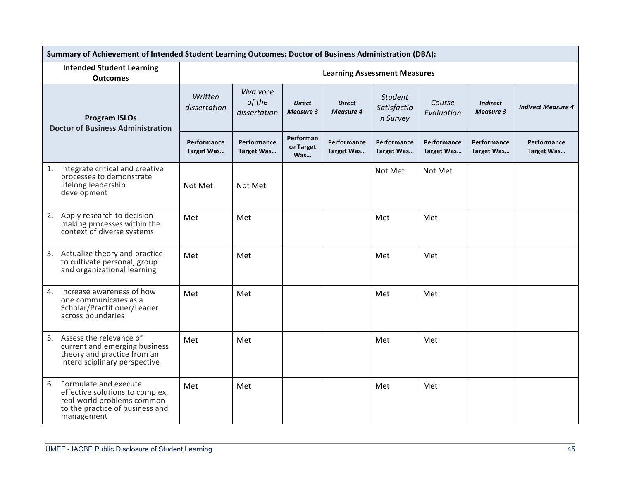| Summary of Achievement of Intended Student Learning Outcomes: Doctor of Business Administration (DBA):                                     |                           |                                     |                                   |                                     |                                           |                           |                                     |                           |  |
|--------------------------------------------------------------------------------------------------------------------------------------------|---------------------------|-------------------------------------|-----------------------------------|-------------------------------------|-------------------------------------------|---------------------------|-------------------------------------|---------------------------|--|
| <b>Intended Student Learning</b><br><b>Outcomes</b>                                                                                        |                           |                                     |                                   | <b>Learning Assessment Measures</b> |                                           |                           |                                     |                           |  |
| <b>Program ISLOs</b><br><b>Doctor of Business Administration</b>                                                                           | Written<br>dissertation   | Viva voce<br>of the<br>dissertation | <b>Direct</b><br><b>Measure 3</b> | <b>Direct</b><br><b>Measure 4</b>   | <b>Student</b><br>Satisfactio<br>n Survey | Course<br>Evaluation      | <b>Indirect</b><br><b>Measure 3</b> | <b>Indirect Measure 4</b> |  |
|                                                                                                                                            | Performance<br>Target Was | Performance<br>Target Was           | Performan<br>ce Target<br>Was     | Performance<br><b>Target Was</b>    | Performance<br><b>Target Was</b>          | Performance<br>Target Was | Performance<br>Target Was           | Performance<br>Target Was |  |
| Integrate critical and creative<br>1.<br>processes to demonstrate<br>lifelong leadership<br>development                                    | Not Met                   | Not Met                             |                                   |                                     | Not Met                                   | Not Met                   |                                     |                           |  |
| 2. Apply research to decision-<br>making processes within the<br>context of diverse systems                                                | Met                       | Met                                 |                                   |                                     | Met                                       | Met                       |                                     |                           |  |
| 3. Actualize theory and practice<br>to cultivate personal, group<br>and organizational learning                                            | Met                       | Met                                 |                                   |                                     | Met                                       | Met                       |                                     |                           |  |
| Increase awareness of how<br>4.<br>one communicates as a<br>Scholar/Practitioner/Leader<br>across boundaries                               | Met                       | Met                                 |                                   |                                     | Met                                       | Met                       |                                     |                           |  |
| 5. Assess the relevance of<br>current and emerging business<br>theory and practice from an<br>interdisciplinary perspective                | Met                       | Met                                 |                                   |                                     | Met                                       | Met                       |                                     |                           |  |
| 6. Formulate and execute<br>effective solutions to complex,<br>real-world problems common<br>to the practice of business and<br>management | Met                       | Met                                 |                                   |                                     | Met                                       | Met                       |                                     |                           |  |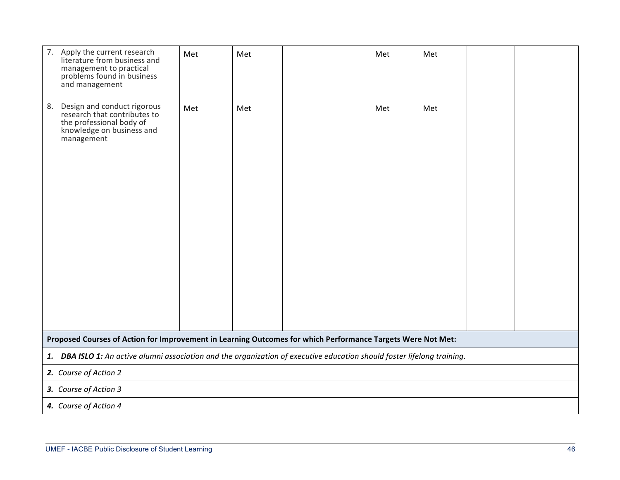| 7. Apply the current research<br>literature from business and<br>management to practical<br>problems found in business<br>and management | Met | Met |  |  | Met | Met |  |  |  |  |
|------------------------------------------------------------------------------------------------------------------------------------------|-----|-----|--|--|-----|-----|--|--|--|--|
| 8.<br>Design and conduct rigorous<br>research that contributes to<br>the professional body of<br>knowledge on business and<br>management | Met | Met |  |  | Met | Met |  |  |  |  |
| Proposed Courses of Action for Improvement in Learning Outcomes for which Performance Targets Were Not Met:                              |     |     |  |  |     |     |  |  |  |  |
| 1. DBA ISLO 1: An active alumni association and the organization of executive education should foster lifelong training.                 |     |     |  |  |     |     |  |  |  |  |
| 2. Course of Action 2                                                                                                                    |     |     |  |  |     |     |  |  |  |  |
| 3. Course of Action 3                                                                                                                    |     |     |  |  |     |     |  |  |  |  |
| 4. Course of Action 4                                                                                                                    |     |     |  |  |     |     |  |  |  |  |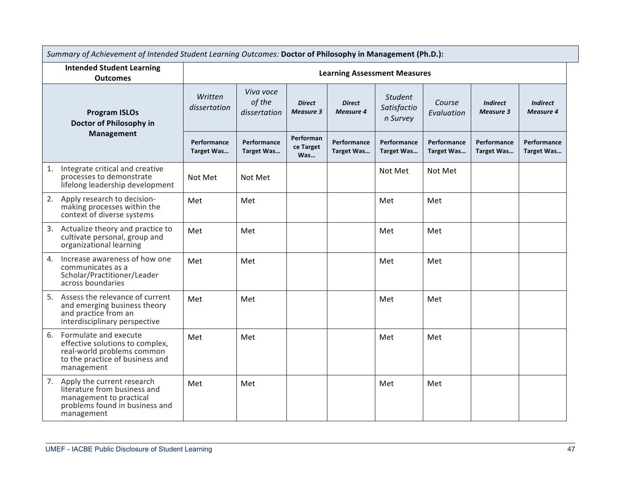| Summary of Achievement of Intended Student Learning Outcomes: Doctor of Philosophy in Management (Ph.D.): |                                                                                                                                          |                                     |                                     |                                   |                                   |                                           |                                  |                                     |                                     |  |
|-----------------------------------------------------------------------------------------------------------|------------------------------------------------------------------------------------------------------------------------------------------|-------------------------------------|-------------------------------------|-----------------------------------|-----------------------------------|-------------------------------------------|----------------------------------|-------------------------------------|-------------------------------------|--|
| <b>Intended Student Learning</b><br><b>Outcomes</b>                                                       |                                                                                                                                          | <b>Learning Assessment Measures</b> |                                     |                                   |                                   |                                           |                                  |                                     |                                     |  |
| <b>Program ISLOs</b><br>Doctor of Philosophy in                                                           |                                                                                                                                          | Written<br>dissertation             | Viva voce<br>of the<br>dissertation | <b>Direct</b><br><b>Measure 3</b> | <b>Direct</b><br><b>Measure 4</b> | <b>Student</b><br>Satisfactio<br>n Survey | Course<br>Evaluation             | <b>Indirect</b><br><b>Measure 3</b> | <b>Indirect</b><br><b>Measure 4</b> |  |
|                                                                                                           | <b>Management</b>                                                                                                                        | Performance<br>Target Was           | Performance<br>Target Was           | Performan<br>ce Target<br>Was     | Performance<br><b>Target Was</b>  | Performance<br><b>Target Was</b>          | Performance<br><b>Target Was</b> | Performance<br>Target Was           | Performance<br>Target Was           |  |
| 1.                                                                                                        | Integrate critical and creative<br>processes to demonstrate<br>lifelong leadership development                                           | Not Met                             | Not Met                             |                                   |                                   | Not Met                                   | Not Met                          |                                     |                                     |  |
| 2.                                                                                                        | Apply research to decision-<br>making processes within the<br>context of diverse systems                                                 | Met                                 | Met                                 |                                   |                                   | Met                                       | Met                              |                                     |                                     |  |
| 3.                                                                                                        | Actualize theory and practice to<br>cultivate personal, group and<br>organizational learning                                             | Met                                 | Met                                 |                                   |                                   | Met                                       | Met                              |                                     |                                     |  |
| 4.                                                                                                        | Increase awareness of how one<br>communicates as a<br>Scholar/Practitioner/Leader<br>across boundaries                                   | Met                                 | Met                                 |                                   |                                   | Met                                       | Met                              |                                     |                                     |  |
|                                                                                                           | 5. Assess the relevance of current<br>and emerging business theory<br>and practice from an<br>interdisciplinary perspective              | Met                                 | Met                                 |                                   |                                   | Met                                       | Met                              |                                     |                                     |  |
| 6.                                                                                                        | Formulate and execute<br>effective solutions to complex,<br>real-world problems common<br>to the practice of business and<br>management  | Met                                 | Met                                 |                                   |                                   | Met                                       | Met                              |                                     |                                     |  |
|                                                                                                           | 7. Apply the current research<br>literature from business and<br>management to practical<br>problems found in business and<br>management | Met                                 | Met                                 |                                   |                                   | Met                                       | Met                              |                                     |                                     |  |